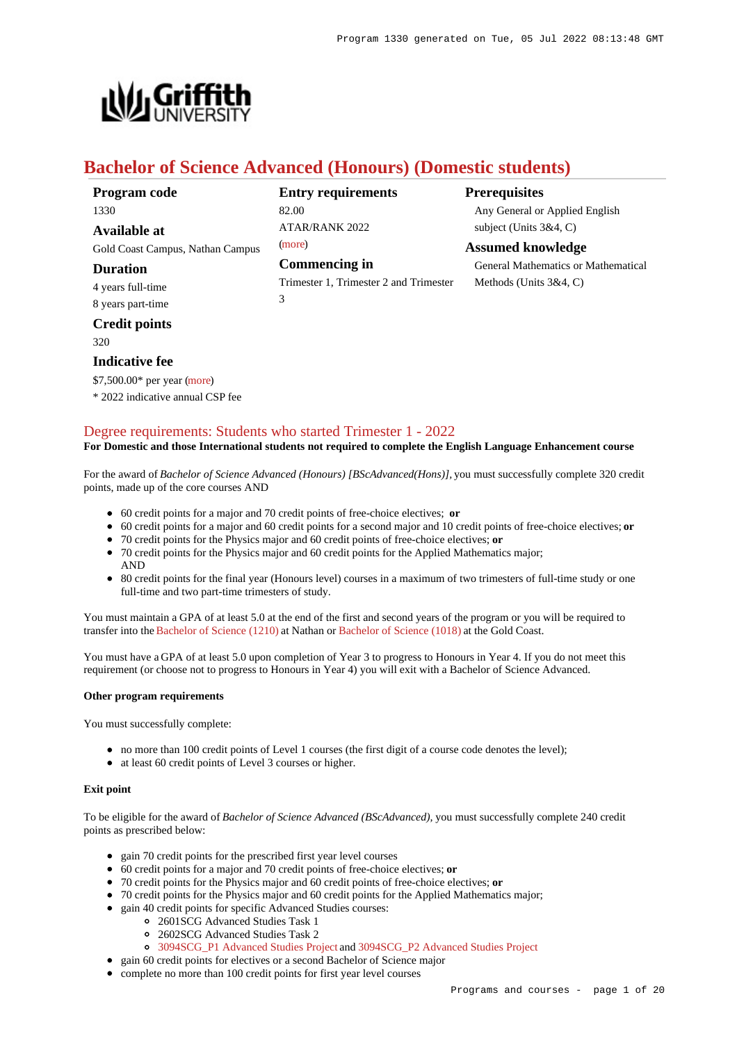

# **Bachelor of Science Advanced (Honours) (Domestic students)**

| Program code                     | <b>Entry requirements</b>              | <b>Prerequisites</b>                |
|----------------------------------|----------------------------------------|-------------------------------------|
| 1330                             | 82.00                                  | Any General or Applied English      |
| <b>Available at</b>              | <b>ATAR/RANK 2022</b>                  | subject (Units $3&4, C$ )           |
| Gold Coast Campus, Nathan Campus | (more)                                 | <b>Assumed knowledge</b>            |
| <b>Duration</b>                  | <b>Commencing in</b>                   | General Mathematics or Mathematical |
| 4 years full-time                | Trimester 1, Trimester 2 and Trimester | Methods (Units $3&4, C$ )           |
| 8 years part-time                | 3                                      |                                     |
| <b>Credit points</b>             |                                        |                                     |
| 320                              |                                        |                                     |

# **Indicative fee**

AND

\$7,500.00\* per year [\(more](https://www148.griffith.edu.au/programs-courses/Program/1330/Overview/Domestic#fees))

\* 2022 indicative annual CSP fee

### [Degree requirements: Students who started Trimester 1 - 2022](https://www148.griffith.edu.au/programs-courses/Program/1330/Courses/Domestic#degree-requirements)

#### **For Domestic and those International students not required to complete the English Language Enhancement course**

For the award of *Bachelor of Science Advanced (Honours) [BScAdvanced(Hons)],* you must successfully complete 320 credit points, made up of the core courses AND

- 60 credit points for a major and 70 credit points of free-choice electives; **or**
- 60 credit points for a major and 60 credit points for a second major and 10 credit points of free-choice electives; **or**
- 70 credit points for the Physics major and 60 credit points of free-choice electives; **or**
- 70 credit points for the Physics major and 60 credit points for the Applied Mathematics major;
- 80 credit points for the final year (Honours level) courses in a maximum of two trimesters of full-time study or one full-time and two part-time trimesters of study.

You must maintain a GPA of at least 5.0 at the end of the first and second years of the program or you will be required to transfer into the [Bachelor of Science \(1210\)](https://www148.griffith.edu.au/Search/Results?SearchText=1210) at Nathan or [Bachelor of Science \(1018\)](https://www148.griffith.edu.au/Search/Results?SearchText=1018) at the Gold Coast.

You must have a GPA of at least 5.0 upon completion of Year 3 to progress to Honours in Year 4. If you do not meet this requirement (or choose not to progress to Honours in Year 4) you will exit with a Bachelor of Science Advanced.

### **Other program requirements**

You must successfully complete:

- no more than 100 credit points of Level 1 courses (the first digit of a course code denotes the level);
- at least 60 credit points of Level 3 courses or higher.

#### **Exit point**

To be eligible for the award of *Bachelor of Science Advanced (BScAdvanced),* you must successfully complete 240 credit points as prescribed below:

- gain 70 credit points for the prescribed first year level courses
- 60 credit points for a major and 70 credit points of free-choice electives; **or**
- 70 credit points for the Physics major and 60 credit points of free-choice electives; **or**
- 70 credit points for the Physics major and 60 credit points for the Applied Mathematics major;
- gain 40 credit points for specific Advanced Studies courses:
	- 2601SCG Advanced Studies Task 1
	- 2602SCG Advanced Studies Task 2
	- [3094SCG\\_P1 Advanced Studies Project](https://www148.griffith.edu.au/Course/3094SCG_P1) and [3094SCG\\_P2 Advanced Studies Project](https://www148.griffith.edu.au/Course/3094SCG_P2)
- gain 60 credit points for electives or a second Bachelor of Science major
- complete no more than 100 credit points for first year level courses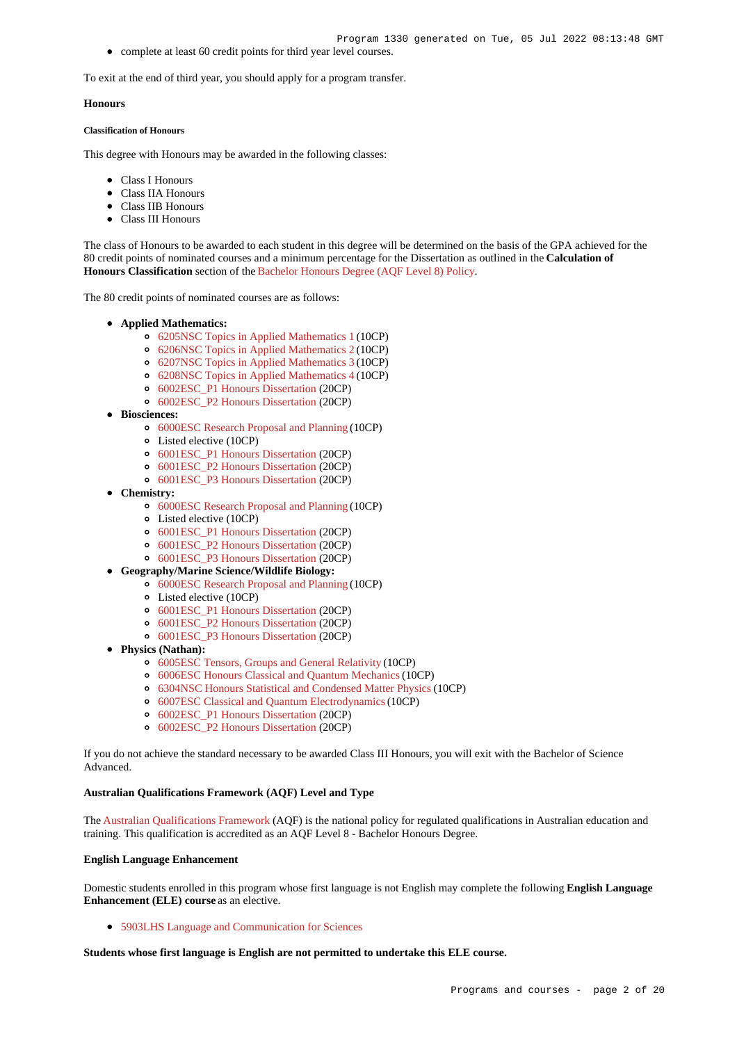complete at least 60 credit points for third year level courses.

To exit at the end of third year, you should apply for a program transfer.

#### **Honours**

#### **Classification of Honours**

This degree with Honours may be awarded in the following classes:

- Class I Honours
- Class IIA Honours
- Class IIB Honours
- Class III Honours

The class of Honours to be awarded to each student in this degree will be determined on the basis of the GPA achieved for the 80 credit points of nominated courses and a minimum percentage for the Dissertation as outlined in the **Calculation of Honours Classification** section of the [Bachelor Honours Degree \(AQF Level 8\) Policy](http://policies.griffith.edu.au/pdf/Bachelor Honours Degree Policy.pdf).

The 80 credit points of nominated courses are as follows:

- **Applied Mathematics:**
	- [6205NSC Topics in Applied Mathematics 1](https://www148.griffith.edu.au/Course/6205NSC) (10CP)
	- [6206NSC Topics in Applied Mathematics 2](https://www148.griffith.edu.au/Course/6206NSC) (10CP)
	- [6207NSC Topics in Applied Mathematics 3](https://www148.griffith.edu.au/Course/6207NSC) (10CP)
	- [6208NSC Topics in Applied Mathematics 4](https://www148.griffith.edu.au/Course/6208NSC) (10CP)
	- [6002ESC\\_P1 Honours Dissertation](https://www148.griffith.edu.au/Course/6002ESC_P1) (20CP)
	- [6002ESC\\_P2 Honours Dissertation](https://www148.griffith.edu.au/Course/6002ESC_P2) (20CP)
- **Biosciences:** 
	- [6000ESC Research Proposal and Planning](https://www148.griffith.edu.au/Course/6000ESC) (10CP)
		- Listed elective (10CP)
		- [6001ESC\\_P1 Honours Dissertation](https://www148.griffith.edu.au/Course/6001ESC_P1) (20CP)
		- [6001ESC\\_P2 Honours Dissertation](https://www148.griffith.edu.au/Course/6001ESC_P2) (20CP)
		- [6001ESC\\_P3 Honours Dissertation](https://www148.griffith.edu.au/Course/6001ESC_P3) (20CP)
- **Chemistry:**
	- [6000ESC Research Proposal and Planning](https://www148.griffith.edu.au/Course/6000ESC) (10CP)
	- Listed elective (10CP)
	- [6001ESC\\_P1 Honours Dissertation](https://www148.griffith.edu.au/Course/6001ESC_P1) (20CP)
	- [6001ESC\\_P2 Honours Dissertation](https://www148.griffith.edu.au/Course/6001ESC_P2) (20CP)
	- [6001ESC\\_P3 Honours Dissertation](https://www148.griffith.edu.au/Course/6001ESC_P3) (20CP)
- **Geography/Marine Science/Wildlife Biology:**
	- [6000ESC Research Proposal and Planning](https://www148.griffith.edu.au/Course/6000ESC) (10CP)
	- Listed elective (10CP)
	- [6001ESC\\_P1 Honours Dissertation](https://www148.griffith.edu.au/Course/6001ESC_P1) (20CP)
	- [6001ESC\\_P2 Honours Dissertation](https://www148.griffith.edu.au/Course/6001ESC_P2) (20CP)
	- [6001ESC\\_P3 Honours Dissertation](https://www148.griffith.edu.au/Course/6001ESC_P3) (20CP)
- **Physics (Nathan):**
	- [6005ESC Tensors, Groups and General Relativity](https://www148.griffith.edu.au/Course/6005ESC) (10CP)
	- [6006ESC Honours Classical and Quantum Mechanics](https://www148.griffith.edu.au/Course/6006ESC) (10CP)
	- [6304NSC Honours Statistical and Condensed Matter Physics](https://www148.griffith.edu.au/Course/6304NSC) (10CP)
	- [6007ESC Classical and Quantum Electrodynamics](https://www148.griffith.edu.au/Course/6007ESC) (10CP)
	- [6002ESC\\_P1 Honours Dissertation](https://www148.griffith.edu.au/Course/6002ESC_P1) (20CP)
	- [6002ESC\\_P2 Honours Dissertation](https://www148.griffith.edu.au/Course/6002ESC_P2) (20CP)

If you do not achieve the standard necessary to be awarded Class III Honours, you will exit with the Bachelor of Science Advanced.

#### **Australian Qualifications Framework (AQF) Level and Type**

The [Australian Qualifications Framework](http://www.aqf.edu.au/) (AQF) is the national policy for regulated qualifications in Australian education and training. This qualification is accredited as an AQF Level 8 - Bachelor Honours Degree.

### **English Language Enhancement**

Domestic students enrolled in this program whose first language is not English may complete the following **English Language Enhancement (ELE) course** as an elective.

[5903LHS Language and Communication for Sciences](https://www148.griffith.edu.au/Course/5903LHS)

**Students whose first language is English are not permitted to undertake this ELE course.**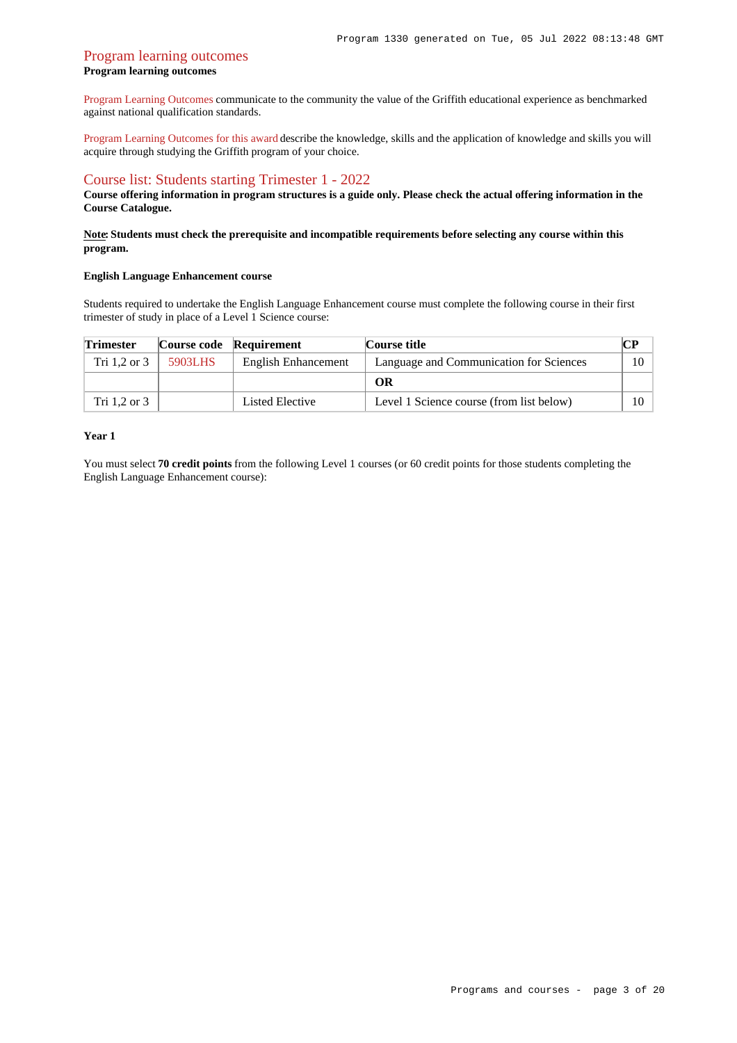### [Program learning outcomes](https://www148.griffith.edu.au/programs-courses/Program/1330/Courses/Domestic#programLearningOutcomes) **Program learning outcomes**

[Program Learning Outcomes](https://www.griffith.edu.au/__data/assets/pdf_file/0017/134522/PLO-general-advice.pdf) communicate to the community the value of the Griffith educational experience as benchmarked against national qualification standards.

[Program Learning Outcomes for this award](https://www.griffith.edu.au/__data/assets/pdf_file/0012/301242/BScience-Advanced-Hons-PLO_L8.pdf) describe the knowledge, skills and the application of knowledge and skills you will acquire through studying the Griffith program of your choice.

### [Course list: Students starting Trimester 1 - 2022](https://www148.griffith.edu.au/programs-courses/Program/1330/Courses/Domestic#course-list-content)

**Course offering information in program structures is a guide only. Please check the actual offering information in the Course Catalogue.**

### **Note: Students must check the prerequisite and incompatible requirements before selecting any course within this program.**

### **English Language Enhancement course**

Students required to undertake the English Language Enhancement course must complete the following course in their first trimester of study in place of a Level 1 Science course:

| <b>Trimester</b> |         | Course code Requirement | Course title                             |         |
|------------------|---------|-------------------------|------------------------------------------|---------|
| Tri 1.2 or 3     | 5903LHS | English Enhancement     | Language and Communication for Sciences  | $10-10$ |
|                  |         |                         | OR                                       |         |
| Tri 1.2 or 3     |         | Listed Elective         | Level 1 Science course (from list below) | $10-10$ |

#### **Year 1**

You must select **70 credit points** from the following Level 1 courses (or 60 credit points for those students completing the English Language Enhancement course):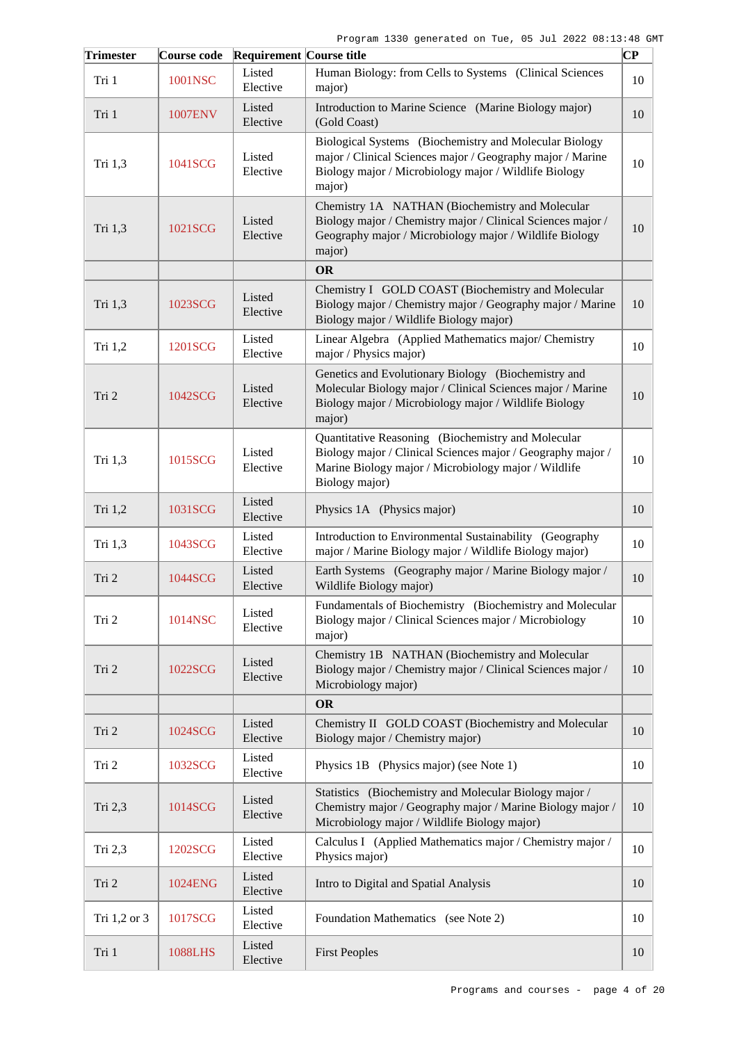| <b>Trimester</b> | Course code    | <b>Requirement Course title</b> |                                                                                                                                                                                             | $ {\bf CP}$ |
|------------------|----------------|---------------------------------|---------------------------------------------------------------------------------------------------------------------------------------------------------------------------------------------|-------------|
| Tri 1            | 1001NSC        | Listed<br>Elective              | Human Biology: from Cells to Systems (Clinical Sciences<br>major)                                                                                                                           | 10          |
| Tri 1            | <b>1007ENV</b> | Listed<br>Elective              | Introduction to Marine Science (Marine Biology major)<br>(Gold Coast)                                                                                                                       | 10          |
| Tri 1,3          | 1041SCG        | Listed<br>Elective              | Biological Systems (Biochemistry and Molecular Biology<br>major / Clinical Sciences major / Geography major / Marine<br>Biology major / Microbiology major / Wildlife Biology<br>major)     | 10          |
| Tri 1,3          | 1021SCG        | Listed<br>Elective              | Chemistry 1A NATHAN (Biochemistry and Molecular<br>Biology major / Chemistry major / Clinical Sciences major /<br>Geography major / Microbiology major / Wildlife Biology<br>major)         | 10          |
|                  |                |                                 | <b>OR</b>                                                                                                                                                                                   |             |
| Tri 1,3          | 1023SCG        | Listed<br>Elective              | Chemistry I GOLD COAST (Biochemistry and Molecular<br>Biology major / Chemistry major / Geography major / Marine<br>Biology major / Wildlife Biology major)                                 | 10          |
| Tri 1,2          | 1201SCG        | Listed<br>Elective              | Linear Algebra (Applied Mathematics major/Chemistry<br>major / Physics major)                                                                                                               | 10          |
| Tri 2            | 1042SCG        | Listed<br>Elective              | Genetics and Evolutionary Biology (Biochemistry and<br>Molecular Biology major / Clinical Sciences major / Marine<br>Biology major / Microbiology major / Wildlife Biology<br>major)        | 10          |
| Tri 1,3          | 1015SCG        | Listed<br>Elective              | Quantitative Reasoning (Biochemistry and Molecular<br>Biology major / Clinical Sciences major / Geography major /<br>Marine Biology major / Microbiology major / Wildlife<br>Biology major) | 10          |
| Tri 1,2          | 1031SCG        | Listed<br>Elective              | Physics 1A (Physics major)                                                                                                                                                                  | 10          |
| Tri 1,3          | 1043SCG        | Listed<br>Elective              | Introduction to Environmental Sustainability (Geography<br>major / Marine Biology major / Wildlife Biology major)                                                                           | 10          |
| Tri 2            | 1044SCG        | Listed<br>Elective              | Earth Systems (Geography major / Marine Biology major /<br>Wildlife Biology major)                                                                                                          | 10          |
| Tri 2            | 1014NSC        | Listed<br>Elective              | Fundamentals of Biochemistry (Biochemistry and Molecular<br>Biology major / Clinical Sciences major / Microbiology<br>major)                                                                | 10          |
| Tri 2            | 1022SCG        | Listed<br>Elective              | Chemistry 1B NATHAN (Biochemistry and Molecular<br>Biology major / Chemistry major / Clinical Sciences major /<br>Microbiology major)                                                       | 10          |
|                  |                |                                 | <b>OR</b>                                                                                                                                                                                   |             |
| Tri 2            | 1024SCG        | Listed<br>Elective              | Chemistry II GOLD COAST (Biochemistry and Molecular<br>Biology major / Chemistry major)                                                                                                     | 10          |
| Tri 2            | 1032SCG        | Listed<br>Elective              | Physics 1B (Physics major) (see Note 1)                                                                                                                                                     | 10          |
| Tri 2,3          | 1014SCG        | Listed<br>Elective              | Statistics (Biochemistry and Molecular Biology major /<br>Chemistry major / Geography major / Marine Biology major /<br>Microbiology major / Wildlife Biology major)                        | 10          |
| Tri 2,3          | 1202SCG        | Listed<br>Elective              | Calculus I (Applied Mathematics major / Chemistry major /<br>Physics major)                                                                                                                 | 10          |
| Tri 2            | 1024ENG        | Listed<br>Elective              | Intro to Digital and Spatial Analysis                                                                                                                                                       | 10          |
| Tri 1,2 or 3     | 1017SCG        | Listed<br>Elective              | Foundation Mathematics (see Note 2)                                                                                                                                                         | 10          |
| Tri 1            | <b>1088LHS</b> | Listed<br>Elective              | <b>First Peoples</b>                                                                                                                                                                        | 10          |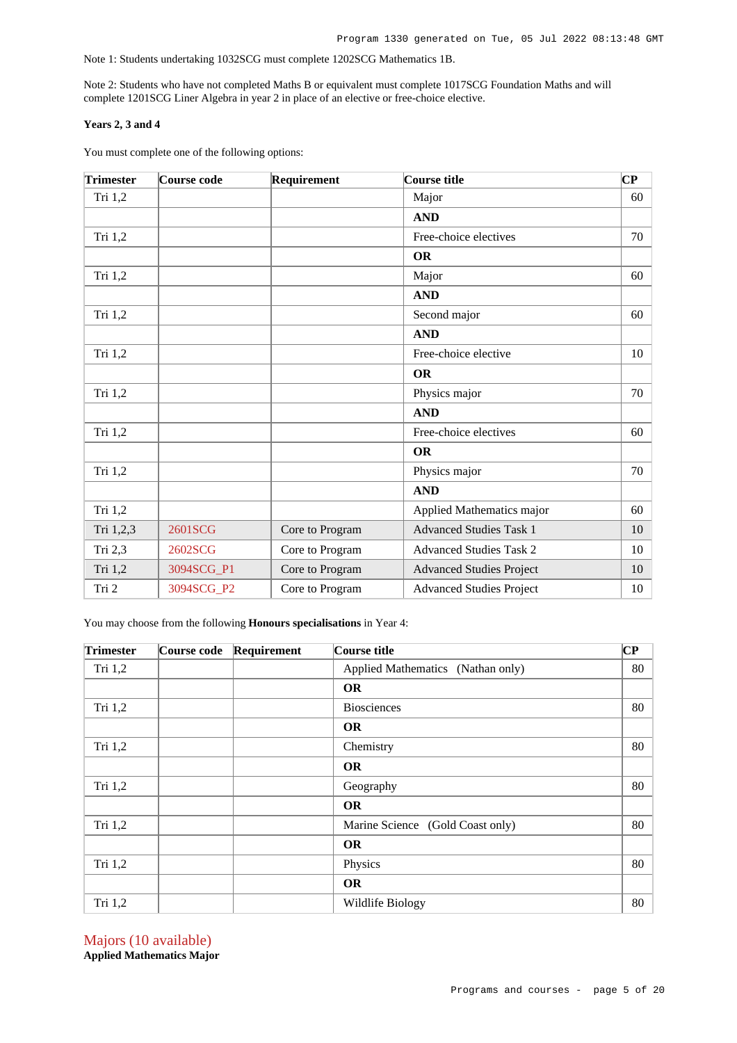Note 1: Students undertaking 1032SCG must complete 1202SCG Mathematics 1B.

Note 2: Students who have not completed Maths B or equivalent must complete 1017SCG Foundation Maths and will complete 1201SCG Liner Algebra in year 2 in place of an elective or free-choice elective.

### **Years 2, 3 and 4**

You must complete one of the following options:

| <b>Trimester</b> | Course code | Requirement     | Course title                    | $\overline{\mathbf{C}\mathbf{P}}$ |
|------------------|-------------|-----------------|---------------------------------|-----------------------------------|
| Tri 1,2          |             |                 | Major                           | 60                                |
|                  |             |                 | <b>AND</b>                      |                                   |
| Tri 1,2          |             |                 | Free-choice electives           | 70                                |
|                  |             |                 | <b>OR</b>                       |                                   |
| Tri 1,2          |             |                 | Major                           | 60                                |
|                  |             |                 | <b>AND</b>                      |                                   |
| Tri 1,2          |             |                 | Second major                    | 60                                |
|                  |             |                 | <b>AND</b>                      |                                   |
| Tri 1,2          |             |                 | Free-choice elective            | 10                                |
|                  |             |                 | <b>OR</b>                       |                                   |
| Tri 1,2          |             |                 | Physics major                   | 70                                |
|                  |             |                 | <b>AND</b>                      |                                   |
| Tri 1,2          |             |                 | Free-choice electives           | 60                                |
|                  |             |                 | <b>OR</b>                       |                                   |
| Tri 1,2          |             |                 | Physics major                   | 70                                |
|                  |             |                 | <b>AND</b>                      |                                   |
| Tri 1,2          |             |                 | Applied Mathematics major       | 60                                |
| Tri 1,2,3        | 2601SCG     | Core to Program | <b>Advanced Studies Task 1</b>  | 10                                |
| Tri 2,3          | 2602SCG     | Core to Program | <b>Advanced Studies Task 2</b>  | 10                                |
| Tri 1,2          | 3094SCG_P1  | Core to Program | <b>Advanced Studies Project</b> | 10                                |
| Tri 2            | 3094SCG_P2  | Core to Program | <b>Advanced Studies Project</b> | 10                                |

You may choose from the following **Honours specialisations** in Year 4:

| <b>Trimester</b> | Course code | Requirement | Course title                      | CP |
|------------------|-------------|-------------|-----------------------------------|----|
| Tri $1,2$        |             |             | Applied Mathematics (Nathan only) | 80 |
|                  |             |             | <b>OR</b>                         |    |
| Tri 1,2          |             |             | <b>Biosciences</b>                | 80 |
|                  |             |             | <b>OR</b>                         |    |
| Tri 1,2          |             |             | Chemistry                         | 80 |
|                  |             |             | <b>OR</b>                         |    |
| Tri 1,2          |             |             | Geography                         | 80 |
|                  |             |             | <b>OR</b>                         |    |
| Tri $1,2$        |             |             | Marine Science (Gold Coast only)  | 80 |
|                  |             |             | <b>OR</b>                         |    |
| Tri $1,2$        |             |             | Physics                           | 80 |
|                  |             |             | <b>OR</b>                         |    |
| Tri 1,2          |             |             | Wildlife Biology                  | 80 |

Majors (10 available) **Applied Mathematics Major**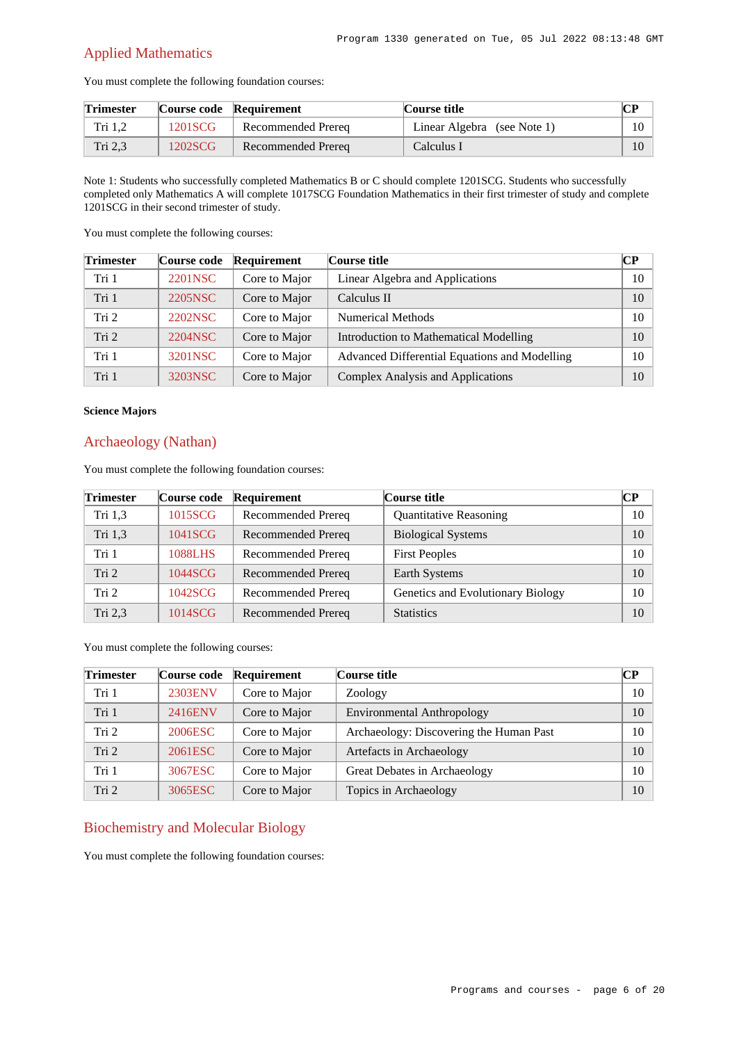# Applied Mathematics

You must complete the following foundation courses:

| <b>Trimester</b> |         | Course code Requirement | Course title                | CР |
|------------------|---------|-------------------------|-----------------------------|----|
| Tri 1.2          | 1201SCG | Recommended Prerea      | Linear Algebra (see Note 1) |    |
| Tri 2.3          | 1202SCG | Recommended Prereg      | Calculus 1                  |    |

Note 1: Students who successfully completed Mathematics B or C should complete 1201SCG. Students who successfully completed only Mathematics A will complete 1017SCG Foundation Mathematics in their first trimester of study and complete 1201SCG in their second trimester of study.

You must complete the following courses:

| <b>Trimester</b> | <b>Course code</b> | Requirement   | Course title                                  | CР |
|------------------|--------------------|---------------|-----------------------------------------------|----|
| Tri 1            | 2201NSC            | Core to Major | Linear Algebra and Applications               | 10 |
| Tri 1            | 2205NSC            | Core to Major | Calculus II                                   | 10 |
| Tri 2            | 2202NSC            | Core to Major | <b>Numerical Methods</b>                      | 10 |
| Tri 2            | 2204NSC            | Core to Major | Introduction to Mathematical Modelling        | 10 |
| Tri 1            | 3201NSC            | Core to Major | Advanced Differential Equations and Modelling | 10 |
| Tri 1            | 3203NSC            | Core to Major | Complex Analysis and Applications             | 10 |

### **Science Majors**

### Archaeology (Nathan)

You must complete the following foundation courses:

| <b>Trimester</b> | Course code | Requirement               | Course title                      | <b>CP</b> |
|------------------|-------------|---------------------------|-----------------------------------|-----------|
| Tri 1,3          | 1015SCG     | Recommended Prereq        | <b>Quantitative Reasoning</b>     | 10        |
| Tri 1.3          | 1041SCG     | Recommended Prereq        | <b>Biological Systems</b>         | 10        |
| Tri 1            | 1088LHS     | Recommended Prereq        | <b>First Peoples</b>              | 10        |
| Tri <sub>2</sub> | 1044SCG     | <b>Recommended Prereq</b> | Earth Systems                     | 10        |
| Tri 2            | 1042SCG     | <b>Recommended Prereq</b> | Genetics and Evolutionary Biology | 10        |
| Tri $2,3$        | 1014SCG     | <b>Recommended Prereq</b> | <b>Statistics</b>                 | 10        |

You must complete the following courses:

| <b>Trimester</b> | Course code | Requirement   | Course title                            | CР |
|------------------|-------------|---------------|-----------------------------------------|----|
| Tri 1            | 2303ENV     | Core to Major | Zoology                                 | 10 |
| Tri 1            | 2416ENV     | Core to Major | <b>Environmental Anthropology</b>       | 10 |
| Tri <sub>2</sub> | 2006ESC     | Core to Major | Archaeology: Discovering the Human Past | 10 |
| Tri <sub>2</sub> | 2061ESC     | Core to Major | Artefacts in Archaeology                | 10 |
| Tri 1            | 3067ESC     | Core to Major | Great Debates in Archaeology            | 10 |
| Tri <sub>2</sub> | 3065ESC     | Core to Major | Topics in Archaeology                   | 10 |

# Biochemistry and Molecular Biology

You must complete the following foundation courses: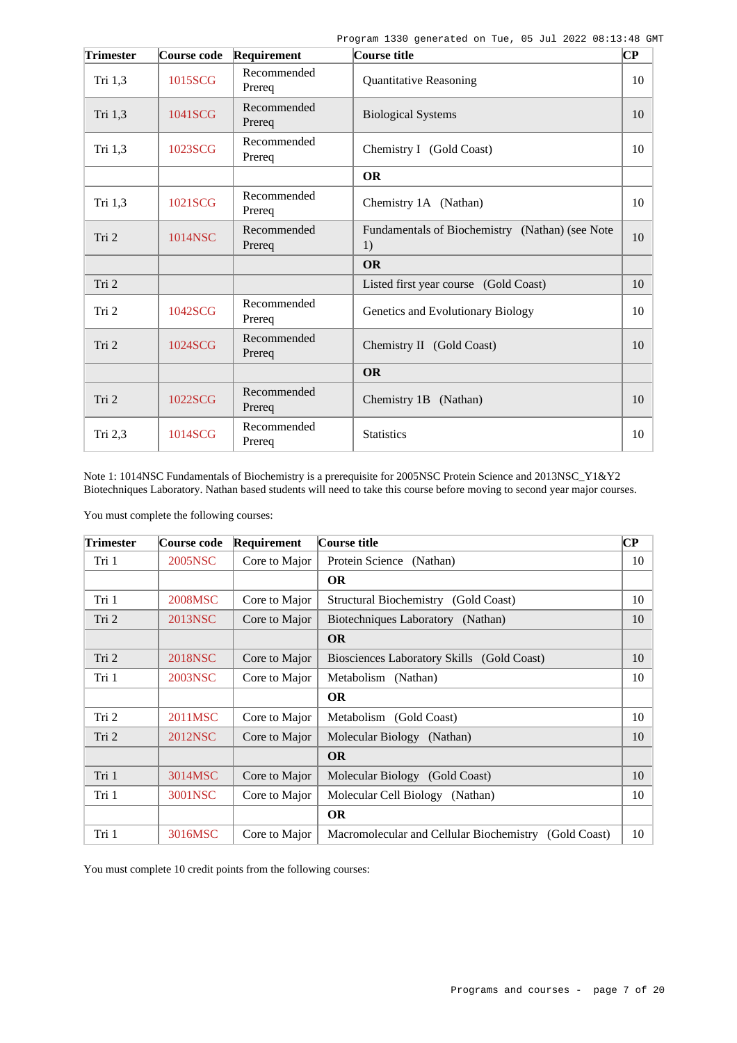| <b>Trimester</b> | Course code | Requirement           | Course title                                          | $\overline{\mathbf{C}\mathbf{P}}$ |
|------------------|-------------|-----------------------|-------------------------------------------------------|-----------------------------------|
| Tri 1,3          | 1015SCG     | Recommended<br>Prereq | <b>Quantitative Reasoning</b>                         | 10                                |
| Tri 1,3          | 1041SCG     | Recommended<br>Prereq | <b>Biological Systems</b>                             | 10                                |
| Tri 1,3          | 1023SCG     | Recommended<br>Prereq | Chemistry I (Gold Coast)                              | 10                                |
|                  |             |                       | <b>OR</b>                                             |                                   |
| Tri 1,3          | 1021SCG     | Recommended<br>Prereq | Chemistry 1A (Nathan)                                 | 10                                |
| Tri 2            | 1014NSC     | Recommended<br>Prereq | Fundamentals of Biochemistry (Nathan) (see Note<br>1) | 10                                |
|                  |             |                       | <b>OR</b>                                             |                                   |
| Tri 2            |             |                       | Listed first year course (Gold Coast)                 | 10                                |
| Tri 2            | 1042SCG     | Recommended<br>Prereq | Genetics and Evolutionary Biology                     | 10                                |
| Tri 2            | 1024SCG     | Recommended<br>Prereq | Chemistry II (Gold Coast)                             | 10                                |
|                  |             |                       | <b>OR</b>                                             |                                   |
| Tri 2            | 1022SCG     | Recommended<br>Prereq | Chemistry 1B (Nathan)                                 | 10                                |
| Tri 2,3          | 1014SCG     | Recommended<br>Prereq | <b>Statistics</b>                                     | 10                                |

Note 1: 1014NSC Fundamentals of Biochemistry is a prerequisite for 2005NSC Protein Science and 2013NSC\_Y1&Y2 Biotechniques Laboratory. Nathan based students will need to take this course before moving to second year major courses.

You must complete the following courses:

| <b>Trimester</b> | Course code | Requirement   | Course title                                             | $\bf CP$ |
|------------------|-------------|---------------|----------------------------------------------------------|----------|
| Tri 1            | 2005NSC     | Core to Major | Protein Science (Nathan)                                 | 10       |
|                  |             |               | <b>OR</b>                                                |          |
| Tri 1            | 2008MSC     | Core to Major | Structural Biochemistry (Gold Coast)                     | 10       |
| Tri 2            | 2013NSC     | Core to Major | Biotechniques Laboratory (Nathan)                        | 10       |
|                  |             |               | <b>OR</b>                                                |          |
| Tri 2            | 2018NSC     | Core to Major | Biosciences Laboratory Skills (Gold Coast)               | 10       |
| Tri 1            | 2003NSC     | Core to Major | Metabolism (Nathan)                                      | 10       |
|                  |             |               | <b>OR</b>                                                |          |
| Tri 2            | 2011MSC     | Core to Major | Metabolism (Gold Coast)                                  | 10       |
| Tri 2            | 2012NSC     | Core to Major | Molecular Biology (Nathan)                               | 10       |
|                  |             |               | <b>OR</b>                                                |          |
| Tri 1            | 3014MSC     | Core to Major | Molecular Biology (Gold Coast)                           | 10       |
| Tri 1            | 3001NSC     | Core to Major | Molecular Cell Biology (Nathan)                          | 10       |
|                  |             |               | <b>OR</b>                                                |          |
| Tri 1            | 3016MSC     | Core to Major | Macromolecular and Cellular Biochemistry<br>(Gold Coast) | 10       |

You must complete 10 credit points from the following courses: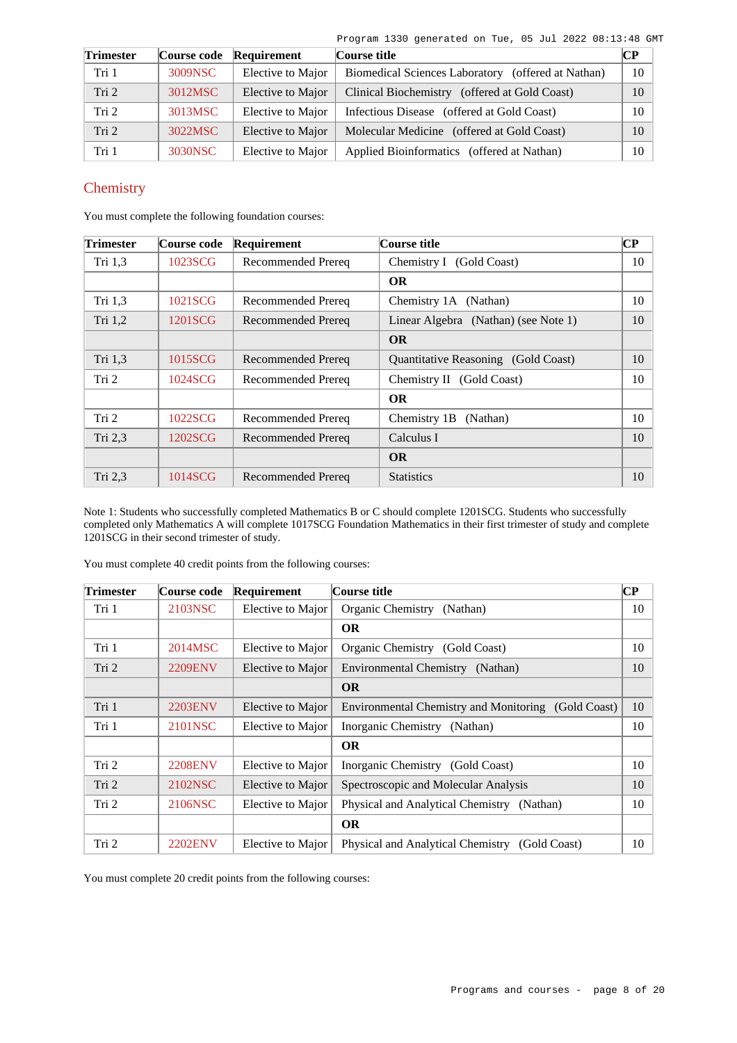| <b>Trimester</b> | Course code | Requirement       | Course title                                                 | <b>CP</b> |
|------------------|-------------|-------------------|--------------------------------------------------------------|-----------|
| Tri 1            | 3009NSC     | Elective to Major | <b>Biomedical Sciences Laboratory</b><br>(offered at Nathan) | 10        |
| Tri <sub>2</sub> | 3012MSC     | Elective to Major | Clinical Biochemistry (offered at Gold Coast)                | 10        |
| Tri 2            | 3013MSC     | Elective to Major | Infectious Disease (offered at Gold Coast)                   | 10        |
| Tri <sub>2</sub> | 3022MSC     | Elective to Major | Molecular Medicine (offered at Gold Coast)                   | 10        |
| Tri 1            | 3030NSC     | Elective to Major | Applied Bioinformatics (offered at Nathan)                   | 10        |

# **Chemistry**

You must complete the following foundation courses:

| <b>Trimester</b> | Course code | Requirement               | Course title                               | $\bf CP$ |
|------------------|-------------|---------------------------|--------------------------------------------|----------|
| Tri 1,3          | 1023SCG     | Recommended Prereq        | Chemistry I (Gold Coast)                   | 10       |
|                  |             |                           | <b>OR</b>                                  |          |
| Tri $1,3$        | 1021SCG     | Recommended Prereq        | Chemistry 1A (Nathan)                      | 10       |
| Tri $1,2$        | 1201SCG     | <b>Recommended Prereq</b> | Linear Algebra (Nathan) (see Note 1)       | 10       |
|                  |             |                           | <b>OR</b>                                  |          |
| Tri 1,3          | 1015SCG     | Recommended Prereq        | <b>Ouantitative Reasoning</b> (Gold Coast) | 10       |
| Tri 2            | 1024SCG     | Recommended Prereq        | Chemistry II (Gold Coast)                  | 10       |
|                  |             |                           | <b>OR</b>                                  |          |
| Tri 2            | 1022SCG     | Recommended Prereq        | Chemistry 1B<br>(Nathan)                   | 10       |
| Tri 2,3          | 1202SCG     | Recommended Prereq        | Calculus I                                 | 10       |
|                  |             |                           | <b>OR</b>                                  |          |
| Tri 2,3          | 1014SCG     | Recommended Prereq        | <b>Statistics</b>                          | 10       |

Note 1: Students who successfully completed Mathematics B or C should complete 1201SCG. Students who successfully completed only Mathematics A will complete 1017SCG Foundation Mathematics in their first trimester of study and complete 1201SCG in their second trimester of study.

You must complete 40 credit points from the following courses:

| <b>Trimester</b> | Course code    | Requirement       | Course title                                        | $\bf CP$ |
|------------------|----------------|-------------------|-----------------------------------------------------|----------|
| Tri 1            | 2103NSC        | Elective to Major | Organic Chemistry<br>(Nathan)                       | 10       |
|                  |                |                   | <b>OR</b>                                           |          |
| Tri 1            | 2014MSC        | Elective to Major | Organic Chemistry (Gold Coast)                      | 10       |
| Tri <sub>2</sub> | 2209ENV        | Elective to Major | Environmental Chemistry (Nathan)                    | 10       |
|                  |                |                   | <b>OR</b>                                           |          |
| Tri 1            | 2203ENV        | Elective to Major | Environmental Chemistry and Monitoring (Gold Coast) | 10       |
| Tri 1            | 2101NSC        | Elective to Major | Inorganic Chemistry (Nathan)                        | 10       |
|                  |                |                   | <b>OR</b>                                           |          |
| Tri 2            | <b>2208ENV</b> | Elective to Major | Inorganic Chemistry (Gold Coast)                    | 10       |
| Tri 2            | 2102NSC        | Elective to Major | Spectroscopic and Molecular Analysis                | 10       |
| Tri 2            | 2106NSC        | Elective to Major | Physical and Analytical Chemistry (Nathan)          | 10       |
|                  |                |                   | <b>OR</b>                                           |          |
| Tri 2            | <b>2202ENV</b> | Elective to Major | Physical and Analytical Chemistry (Gold Coast)      | 10       |

You must complete 20 credit points from the following courses: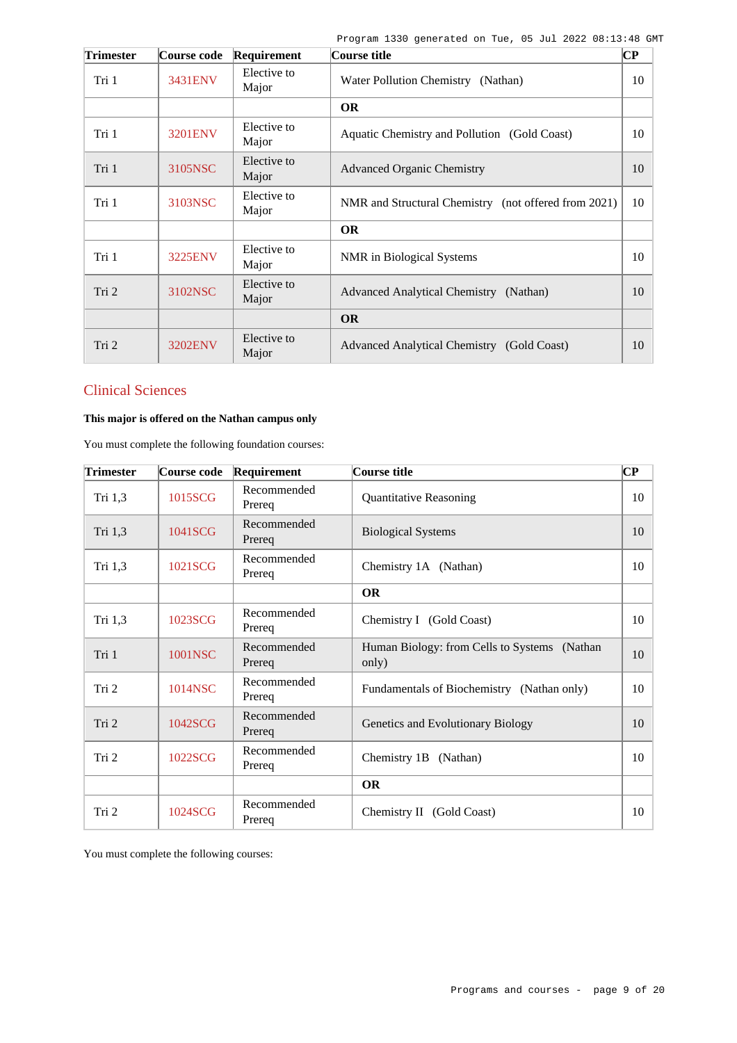| <b>Trimester</b> | Course code | Requirement          | Course title                                         | $\overline{\mathbf{C}\mathbf{P}}$ |
|------------------|-------------|----------------------|------------------------------------------------------|-----------------------------------|
| Tri 1            | 3431ENV     | Elective to<br>Major | Water Pollution Chemistry (Nathan)                   | 10                                |
|                  |             |                      | <b>OR</b>                                            |                                   |
| Tri 1            | 3201ENV     | Elective to<br>Major | Aquatic Chemistry and Pollution (Gold Coast)         | 10                                |
| Tri 1            | 3105NSC     | Elective to<br>Major | <b>Advanced Organic Chemistry</b>                    | 10                                |
| Tri 1            | 3103NSC     | Elective to<br>Major | NMR and Structural Chemistry (not offered from 2021) | 10                                |
|                  |             |                      | <b>OR</b>                                            |                                   |
| Tri 1            | 3225ENV     | Elective to<br>Major | NMR in Biological Systems                            | 10                                |
| Tri 2            | 3102NSC     | Elective to<br>Major | Advanced Analytical Chemistry (Nathan)               | 10                                |
|                  |             |                      | <b>OR</b>                                            |                                   |
| Tri 2            | 3202ENV     | Elective to<br>Major | Advanced Analytical Chemistry (Gold Coast)           | 10                                |

# Clinical Sciences

# **This major is offered on the Nathan campus only**

You must complete the following foundation courses:

| <b>Trimester</b> | Course code | Requirement           | Course title                                          | $\mathbf{C}\mathbf{P}$ |
|------------------|-------------|-----------------------|-------------------------------------------------------|------------------------|
| Tri 1,3          | 1015SCG     | Recommended<br>Prereq | <b>Quantitative Reasoning</b>                         | 10                     |
| Tri 1,3          | 1041SCG     | Recommended<br>Prereq | <b>Biological Systems</b>                             | 10                     |
| Tri 1,3          | 1021SCG     | Recommended<br>Prereq | Chemistry 1A (Nathan)                                 | 10                     |
|                  |             |                       | <b>OR</b>                                             |                        |
| Tri 1,3          | 1023SCG     | Recommended<br>Prereq | Chemistry I (Gold Coast)                              | 10                     |
| Tri 1            | 1001NSC     | Recommended<br>Prereq | Human Biology: from Cells to Systems (Nathan<br>only) | 10                     |
| Tri 2            | 1014NSC     | Recommended<br>Prereq | Fundamentals of Biochemistry (Nathan only)            | 10                     |
| Tri 2            | 1042SCG     | Recommended<br>Prereg | Genetics and Evolutionary Biology                     | 10                     |
| Tri 2            | 1022SCG     | Recommended<br>Prereq | Chemistry 1B (Nathan)                                 | 10                     |
|                  |             |                       | <b>OR</b>                                             |                        |
| Tri 2            | 1024SCG     | Recommended<br>Prereq | Chemistry II (Gold Coast)                             | 10                     |

You must complete the following courses: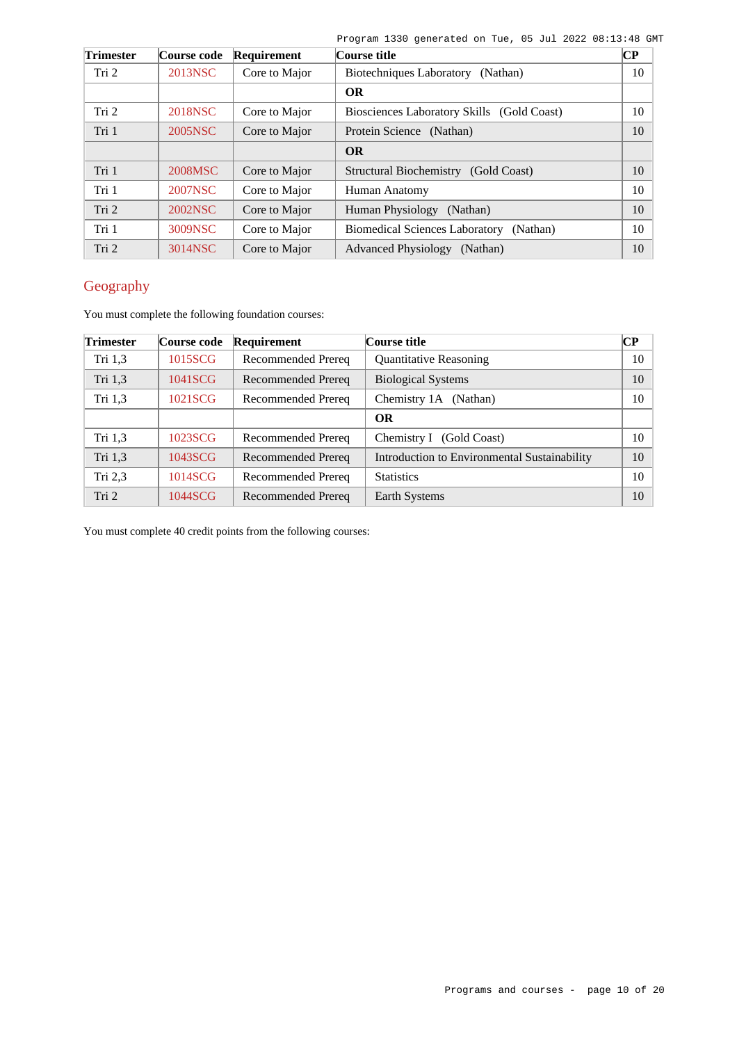| <b>Trimester</b> | Course code | Requirement   | Course title                                      | $\bf CP$ |
|------------------|-------------|---------------|---------------------------------------------------|----------|
| Tri 2            | 2013NSC     | Core to Major | Biotechniques Laboratory<br>(Nathan)              | 10       |
|                  |             |               | <b>OR</b>                                         |          |
| Tri 2            | 2018NSC     | Core to Major | Biosciences Laboratory Skills (Gold Coast)        | 10       |
| Tri 1            | 2005NSC     | Core to Major | Protein Science (Nathan)                          | 10       |
|                  |             |               | <b>OR</b>                                         |          |
| Tri 1            | 2008MSC     | Core to Major | <b>Structural Biochemistry</b><br>(Gold Coast)    | 10       |
| Tri 1            | 2007NSC     | Core to Major | Human Anatomy                                     | 10       |
| Tri 2            | 2002NSC     | Core to Major | Human Physiology<br>(Nathan)                      | 10       |
| Tri 1            | 3009NSC     | Core to Major | <b>Biomedical Sciences Laboratory</b><br>(Nathan) | 10       |
| Tri 2            | 3014NSC     | Core to Major | <b>Advanced Physiology</b><br>(Nathan)            | 10       |

# Geography

You must complete the following foundation courses:

| <b>Trimester</b> | Course code | Requirement        | Course title                                 | $\bf CP$ |
|------------------|-------------|--------------------|----------------------------------------------|----------|
| Tri 1,3          | 1015SCG     | Recommended Prereq | <b>Quantitative Reasoning</b>                | 10       |
| Tri 1,3          | 1041SCG     | Recommended Prereq | <b>Biological Systems</b>                    | 10       |
| Tri 1,3          | 1021SCG     | Recommended Prereq | Chemistry 1A (Nathan)                        | 10       |
|                  |             |                    | <b>OR</b>                                    |          |
| Tri 1,3          | 1023SCG     | Recommended Prereq | Chemistry I (Gold Coast)                     | 10       |
| Tri 1,3          | 1043SCG     | Recommended Prereq | Introduction to Environmental Sustainability | 10       |
| Tri $2,3$        | 1014SCG     | Recommended Prereq | <b>Statistics</b>                            | 10       |
| Tri 2            | 1044SCG     | Recommended Prereq | Earth Systems                                | 10       |

You must complete 40 credit points from the following courses: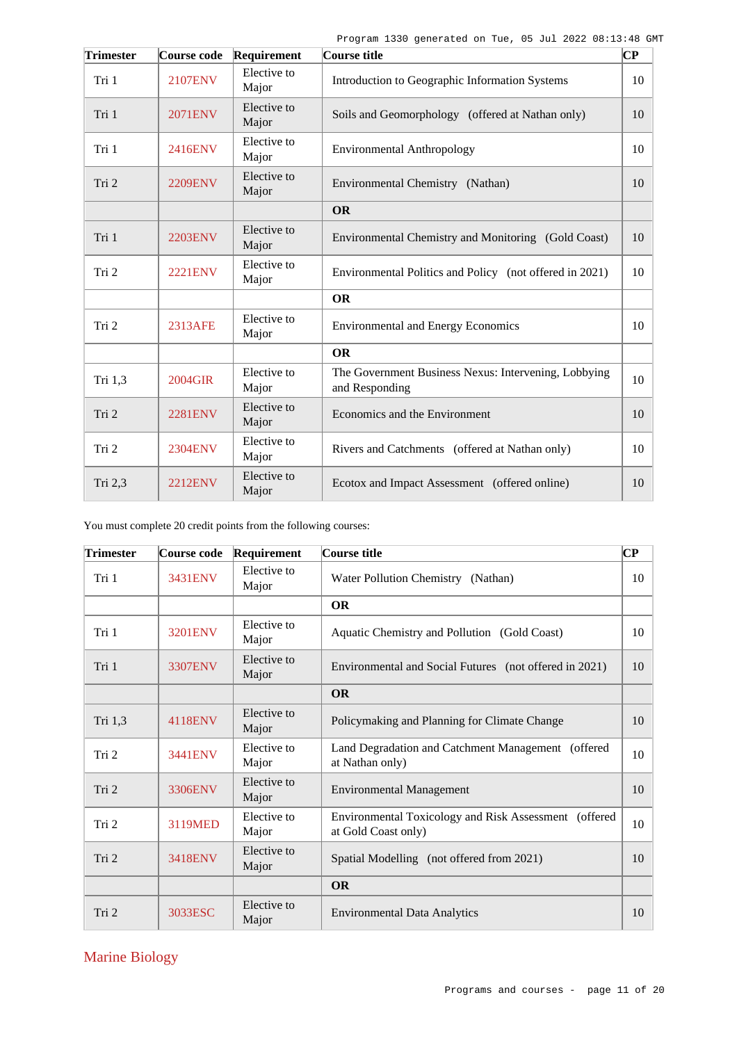| <b>Trimester</b> | Course code    | Requirement          | Course title                                                           | $\overline{\mathbf{C}\mathbf{P}}$ |
|------------------|----------------|----------------------|------------------------------------------------------------------------|-----------------------------------|
| Tri 1            | 2107ENV        | Elective to<br>Major | Introduction to Geographic Information Systems                         | 10                                |
| Tri 1            | <b>2071ENV</b> | Elective to<br>Major | Soils and Geomorphology (offered at Nathan only)                       | 10                                |
| Tri 1            | 2416ENV        | Elective to<br>Major | <b>Environmental Anthropology</b>                                      | 10                                |
| Tri 2            | <b>2209ENV</b> | Elective to<br>Major | Environmental Chemistry (Nathan)                                       | 10                                |
|                  |                |                      | <b>OR</b>                                                              |                                   |
| Tri 1            | <b>2203ENV</b> | Elective to<br>Major | Environmental Chemistry and Monitoring (Gold Coast)                    | 10                                |
| Tri 2            | <b>2221ENV</b> | Elective to<br>Major | Environmental Politics and Policy (not offered in 2021)                | 10                                |
|                  |                |                      | <b>OR</b>                                                              |                                   |
| Tri 2            | 2313AFE        | Elective to<br>Major | <b>Environmental and Energy Economics</b>                              | 10                                |
|                  |                |                      | <b>OR</b>                                                              |                                   |
| Tri 1,3          | 2004GIR        | Elective to<br>Major | The Government Business Nexus: Intervening, Lobbying<br>and Responding | 10                                |
| Tri 2            | <b>2281ENV</b> | Elective to<br>Major | Economics and the Environment                                          | 10                                |
| Tri 2            | <b>2304ENV</b> | Elective to<br>Major | Rivers and Catchments (offered at Nathan only)                         | 10                                |
| Tri 2,3          | <b>2212ENV</b> | Elective to<br>Major | Ecotox and Impact Assessment (offered online)                          | 10                                |

You must complete 20 credit points from the following courses:

| <b>Trimester</b> | Course code    | Requirement          | Course title                                                                 | $\bf CP$ |
|------------------|----------------|----------------------|------------------------------------------------------------------------------|----------|
| Tri 1            | 3431ENV        | Elective to<br>Major | Water Pollution Chemistry<br>(Nathan)                                        | 10       |
|                  |                |                      | <b>OR</b>                                                                    |          |
| Tri 1            | 3201ENV        | Elective to<br>Major | Aquatic Chemistry and Pollution (Gold Coast)                                 | 10       |
| Tri 1            | <b>3307ENV</b> | Elective to<br>Major | Environmental and Social Futures (not offered in 2021)                       | 10       |
|                  |                |                      | <b>OR</b>                                                                    |          |
| Tri 1,3          | 4118ENV        | Elective to<br>Major | Policymaking and Planning for Climate Change                                 | 10       |
| Tri 2            | 3441ENV        | Elective to<br>Major | Land Degradation and Catchment Management (offered<br>at Nathan only)        | 10       |
| Tri 2            | 3306ENV        | Elective to<br>Major | <b>Environmental Management</b>                                              | 10       |
| Tri 2            | 3119MED        | Elective to<br>Major | Environmental Toxicology and Risk Assessment (offered<br>at Gold Coast only) | 10       |
| Tri 2            | 3418ENV        | Elective to<br>Major | Spatial Modelling (not offered from 2021)                                    | 10       |
|                  |                |                      | <b>OR</b>                                                                    |          |
| Tri 2            | 3033ESC        | Elective to<br>Major | <b>Environmental Data Analytics</b>                                          | 10       |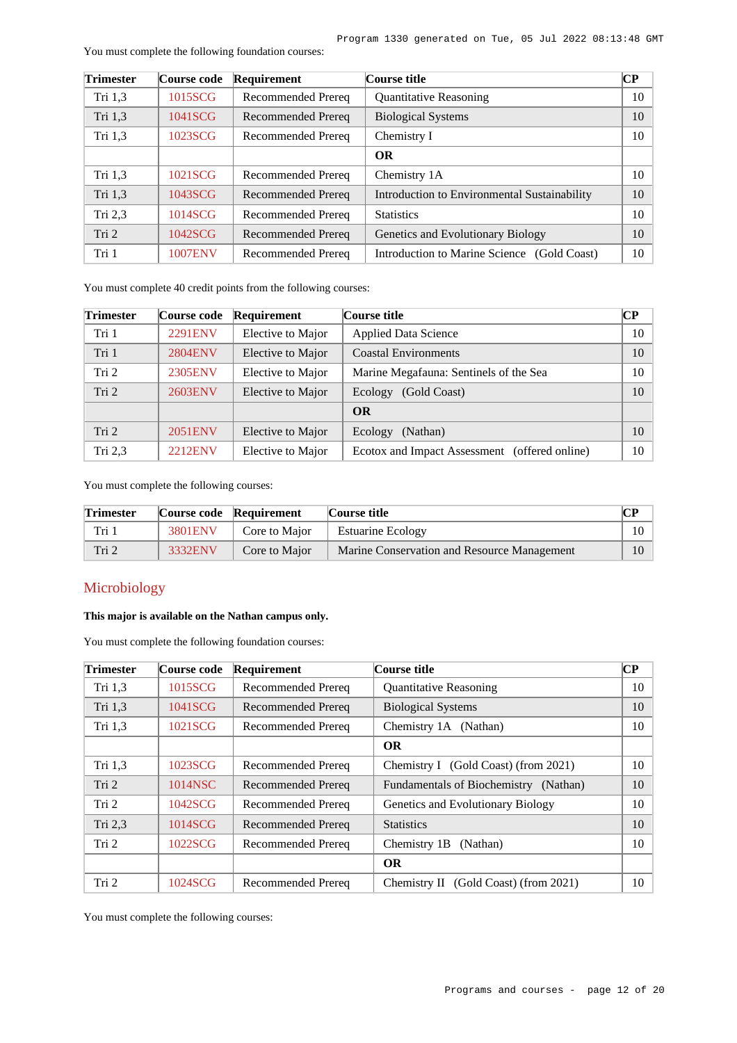| <b>Trimester</b> | Course code    | Requirement        | Course title                                 | $\overline{\mathbf{CP}}$ |
|------------------|----------------|--------------------|----------------------------------------------|--------------------------|
| Tri 1,3          | 1015SCG        | Recommended Prereq | <b>Quantitative Reasoning</b>                | 10                       |
| Tri 1,3          | 1041SCG        | Recommended Prereq | <b>Biological Systems</b>                    | 10                       |
| Tri 1,3          | 1023SCG        | Recommended Prereq | Chemistry I                                  | 10                       |
|                  |                |                    | <b>OR</b>                                    |                          |
| Tri 1,3          | 1021SCG        | Recommended Prereq | Chemistry 1A                                 | 10                       |
| Tri 1,3          | 1043SCG        | Recommended Prereq | Introduction to Environmental Sustainability | 10                       |
| Tri $2,3$        | 1014SCG        | Recommended Prereq | <b>Statistics</b>                            | 10                       |
| Tri 2            | 1042SCG        | Recommended Prereq | Genetics and Evolutionary Biology            | 10                       |
| Tri 1            | <b>1007ENV</b> | Recommended Prereq | Introduction to Marine Science (Gold Coast)  | 10                       |

You must complete the following foundation courses:

You must complete 40 credit points from the following courses:

| <b>Trimester</b> | Course code    | Requirement       | Course title                                  | CР |
|------------------|----------------|-------------------|-----------------------------------------------|----|
| Tri 1            | 2291ENV        | Elective to Major | <b>Applied Data Science</b>                   | 10 |
| Tri 1            | <b>2804ENV</b> | Elective to Major | <b>Coastal Environments</b>                   | 10 |
| Tri 2            | 2305ENV        | Elective to Major | Marine Megafauna: Sentinels of the Sea        | 10 |
| Tri 2            | 2603ENV        | Elective to Major | Ecology<br>(Gold Coast)                       | 10 |
|                  |                |                   | <b>OR</b>                                     |    |
| Tri 2            | 2051ENV        | Elective to Major | (Nathan)<br>Ecology                           | 10 |
| Tri $2,3$        | <b>2212ENV</b> | Elective to Major | Ecotox and Impact Assessment (offered online) | 10 |

You must complete the following courses:

| <b>Trimester</b> |         | Course code Requirement | Course title                                | CР |
|------------------|---------|-------------------------|---------------------------------------------|----|
| Tri 1            | 3801ENV | Core to Major           | <b>Estuarine Ecology</b>                    |    |
| Tri 2            | 3332ENV | Core to Major           | Marine Conservation and Resource Management |    |

### Microbiology

### **This major is available on the Nathan campus only.**

You must complete the following foundation courses:

| <b>Trimester</b> | Course code | Requirement               | Course title                             | CР |
|------------------|-------------|---------------------------|------------------------------------------|----|
| Tri $1,3$        | 1015SCG     | Recommended Prereq        | <b>Quantitative Reasoning</b>            | 10 |
| Tri 1,3          | 1041SCG     | Recommended Prereq        | <b>Biological Systems</b>                | 10 |
| Tri $1,3$        | 1021SCG     | Recommended Prereq        | Chemistry 1A (Nathan)                    | 10 |
|                  |             |                           | <b>OR</b>                                |    |
| Tri 1,3          | 1023SCG     | Recommended Prereq        | Chemistry I (Gold Coast) (from 2021)     | 10 |
| Tri 2            | 1014NSC     | Recommended Prereq        | Fundamentals of Biochemistry (Nathan)    | 10 |
| Tri 2            | 1042SCG     | <b>Recommended Prereq</b> | Genetics and Evolutionary Biology        | 10 |
| Tri 2,3          | 1014SCG     | Recommended Prereq        | <b>Statistics</b>                        | 10 |
| Tri 2            | 1022SCG     | Recommended Prereq        | Chemistry 1B<br>(Nathan)                 | 10 |
|                  |             |                           | <b>OR</b>                                |    |
| Tri 2            | 1024SCG     | Recommended Prereq        | (Gold Coast) (from 2021)<br>Chemistry II | 10 |

You must complete the following courses: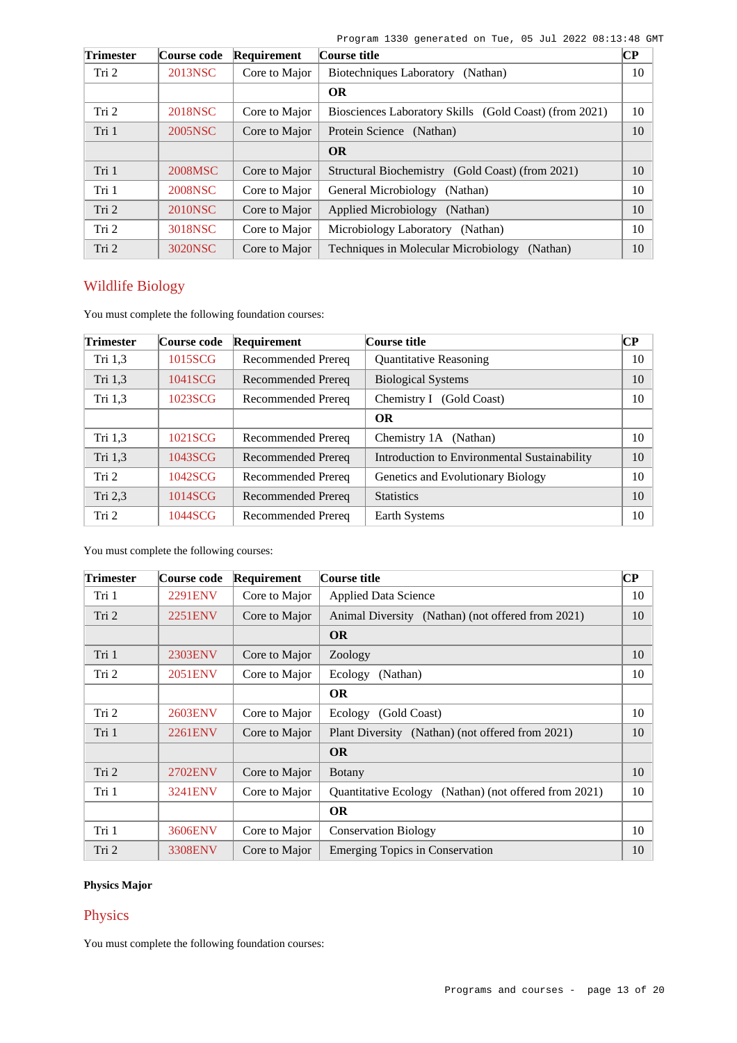| <b>Trimester</b> | Course code    | Requirement   | Course title                                           | $ {\bf CP} $ |
|------------------|----------------|---------------|--------------------------------------------------------|--------------|
| Tri 2            | 2013NSC        | Core to Major | <b>Biotechniques Laboratory</b><br>(Nathan)            | 10           |
|                  |                |               | <b>OR</b>                                              |              |
| Tri 2            | 2018NSC        | Core to Major | Biosciences Laboratory Skills (Gold Coast) (from 2021) | 10           |
| Tri 1            | 2005NSC        | Core to Major | Protein Science (Nathan)                               | 10           |
|                  |                |               | <b>OR</b>                                              |              |
| Tri 1            | 2008MSC        | Core to Major | Structural Biochemistry (Gold Coast) (from 2021)       | 10           |
| Tri 1            | <b>2008NSC</b> | Core to Major | General Microbiology<br>(Nathan)                       | 10           |
| Tri 2            | 2010NSC        | Core to Major | Applied Microbiology (Nathan)                          | 10           |
| Tri 2            | 3018NSC        | Core to Major | Microbiology Laboratory (Nathan)                       | 10           |
| Tri 2            | 3020NSC        | Core to Major | Techniques in Molecular Microbiology<br>(Nathan)       | 10           |

# Wildlife Biology

You must complete the following foundation courses:

| <b>Trimester</b> | Course code | Requirement               | Course title                                 | CР |
|------------------|-------------|---------------------------|----------------------------------------------|----|
| Tri 1,3          | 1015SCG     | Recommended Prereq        | <b>Quantitative Reasoning</b>                | 10 |
| Tri 1,3          | 1041SCG     | <b>Recommended Prereq</b> | <b>Biological Systems</b>                    | 10 |
| Tri $1,3$        | 1023SCG     | Recommended Prereq        | Chemistry I (Gold Coast)                     | 10 |
|                  |             |                           | <b>OR</b>                                    |    |
| Tri $1,3$        | 1021SCG     | Recommended Prereq        | Chemistry 1A (Nathan)                        | 10 |
| Tri 1,3          | 1043SCG     | <b>Recommended Prereq</b> | Introduction to Environmental Sustainability | 10 |
| Tri 2            | 1042SCG     | Recommended Prereq        | Genetics and Evolutionary Biology            | 10 |
| Tri 2,3          | 1014SCG     | Recommended Prereq        | <b>Statistics</b>                            | 10 |
| Tri 2            | 1044SCG     | Recommended Prereq        | Earth Systems                                | 10 |

You must complete the following courses:

| <b>Trimester</b> | Course code    | <b>Requirement</b> | Course title                                                    | $\bf CP$ |
|------------------|----------------|--------------------|-----------------------------------------------------------------|----------|
| Tri 1            | <b>2291ENV</b> | Core to Major      | <b>Applied Data Science</b>                                     | 10       |
| Tri <sub>2</sub> | 2251ENV        | Core to Major      | Animal Diversity (Nathan) (not offered from 2021)               | 10       |
|                  |                |                    | <b>OR</b>                                                       |          |
| Tri 1            | 2303ENV        | Core to Major      | Zoology                                                         | 10       |
| Tri 2            | 2051ENV        | Core to Major      | Ecology<br>(Nathan)                                             | 10       |
|                  |                |                    | <b>OR</b>                                                       |          |
| Tri 2            | 2603ENV        | Core to Major      | Ecology (Gold Coast)                                            | 10       |
| Tri 1            | <b>2261ENV</b> | Core to Major      | Plant Diversity (Nathan) (not offered from 2021)                | 10       |
|                  |                |                    | <b>OR</b>                                                       |          |
| Tri 2            | 2702ENV        | Core to Major      | <b>Botany</b>                                                   | 10       |
| Tri 1            | 3241ENV        | Core to Major      | <b>Quantitative Ecology</b><br>(Nathan) (not offered from 2021) | 10       |
|                  |                |                    | <b>OR</b>                                                       |          |
| Tri 1            | 3606ENV        | Core to Major      | <b>Conservation Biology</b>                                     | 10       |
| Tri 2            | <b>3308ENV</b> | Core to Major      | <b>Emerging Topics in Conservation</b>                          | 10       |

# **Physics Major**

# Physics

You must complete the following foundation courses: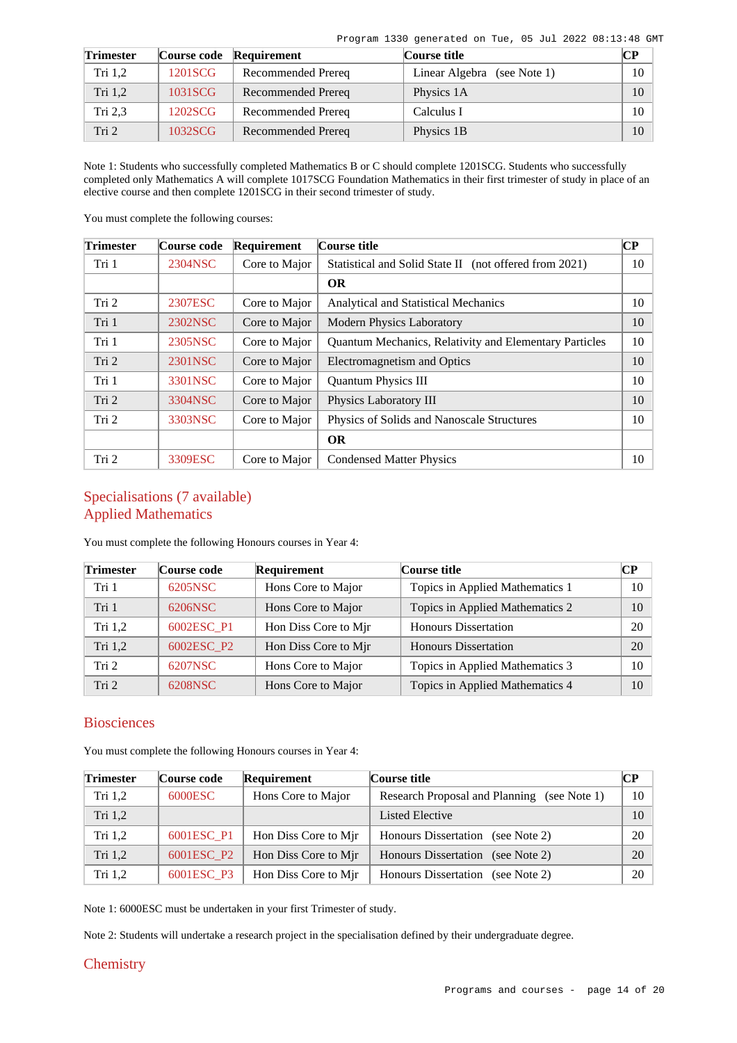| <b>Trimester</b> |         | Course code Requirement | <b>Course title</b>         | CР |
|------------------|---------|-------------------------|-----------------------------|----|
| Tri 1.2          | 1201SCG | Recommended Prereq      | Linear Algebra (see Note 1) | 10 |
| Tri $1,2$        | 1031SCG | Recommended Prereq      | Physics 1A                  | 10 |
| Tri 2,3          | 1202SCG | Recommended Prereq      | Calculus I                  | 10 |
| Tri <sub>2</sub> | 1032SCG | Recommended Prereq      | Physics 1B                  | 10 |

Note 1: Students who successfully completed Mathematics B or C should complete 1201SCG. Students who successfully completed only Mathematics A will complete 1017SCG Foundation Mathematics in their first trimester of study in place of an elective course and then complete 1201SCG in their second trimester of study.

You must complete the following courses:

| <b>Trimester</b> | Course code | Requirement   | Course title                                                  | CР |
|------------------|-------------|---------------|---------------------------------------------------------------|----|
| Tri 1            | 2304NSC     | Core to Major | Statistical and Solid State II (not offered from 2021)        | 10 |
|                  |             |               | <b>OR</b>                                                     |    |
| Tri 2            | 2307ESC     | Core to Major | <b>Analytical and Statistical Mechanics</b>                   | 10 |
| Tri 1            | 2302NSC     | Core to Major | <b>Modern Physics Laboratory</b>                              | 10 |
| Tri 1            | 2305NSC     | Core to Major | <b>Quantum Mechanics, Relativity and Elementary Particles</b> | 10 |
| Tri 2            | 2301NSC     | Core to Major | Electromagnetism and Optics                                   | 10 |
| Tri 1            | 3301NSC     | Core to Major | <b>Quantum Physics III</b>                                    | 10 |
| Tri 2            | 3304NSC     | Core to Major | Physics Laboratory III                                        | 10 |
| Tri 2            | 3303NSC     | Core to Major | Physics of Solids and Nanoscale Structures                    | 10 |
|                  |             |               | <b>OR</b>                                                     |    |
| Tri 2            | 3309ESC     | Core to Major | <b>Condensed Matter Physics</b>                               | 10 |

# Specialisations (7 available) Applied Mathematics

You must complete the following Honours courses in Year 4:

| <b>Trimester</b> | Course code | Requirement          | Course title                    | CР |
|------------------|-------------|----------------------|---------------------------------|----|
| Tri 1            | 6205NSC     | Hons Core to Major   | Topics in Applied Mathematics 1 | 10 |
| Tri 1            | 6206NSC     | Hons Core to Major   | Topics in Applied Mathematics 2 | 10 |
| Tri $1,2$        | 6002ESC P1  | Hon Diss Core to Mir | <b>Honours Dissertation</b>     | 20 |
| Tri 1,2          | 6002ESC P2  | Hon Diss Core to Mir | <b>Honours Dissertation</b>     | 20 |
| Tri 2            | 6207NSC     | Hons Core to Major   | Topics in Applied Mathematics 3 | 10 |
| Tri 2            | 6208NSC     | Hons Core to Major   | Topics in Applied Mathematics 4 | 10 |

# **Biosciences**

You must complete the following Honours courses in Year 4:

| <b>Trimester</b> | Course code | Requirement          | Course title                                | CР     |
|------------------|-------------|----------------------|---------------------------------------------|--------|
| Tri $1,2$        | 6000ESC     | Hons Core to Major   | Research Proposal and Planning (see Note 1) | $10-1$ |
| Tri $1,2$        |             |                      | Listed Elective                             | 10     |
| Tri $1,2$        | 6001ESC P1  | Hon Diss Core to Mir | Honours Dissertation (see Note 2)           | $20-1$ |
| Tri $1,2$        | 6001ESC P2  | Hon Diss Core to Mir | Honours Dissertation (see Note 2)           | 20     |
| Tri $1,2$        | 6001ESC P3  | Hon Diss Core to Mir | <b>Honours Dissertation</b><br>(see Note 2) | $20-1$ |

Note 1: 6000ESC must be undertaken in your first Trimester of study.

Note 2: Students will undertake a research project in the specialisation defined by their undergraduate degree.

### **Chemistry**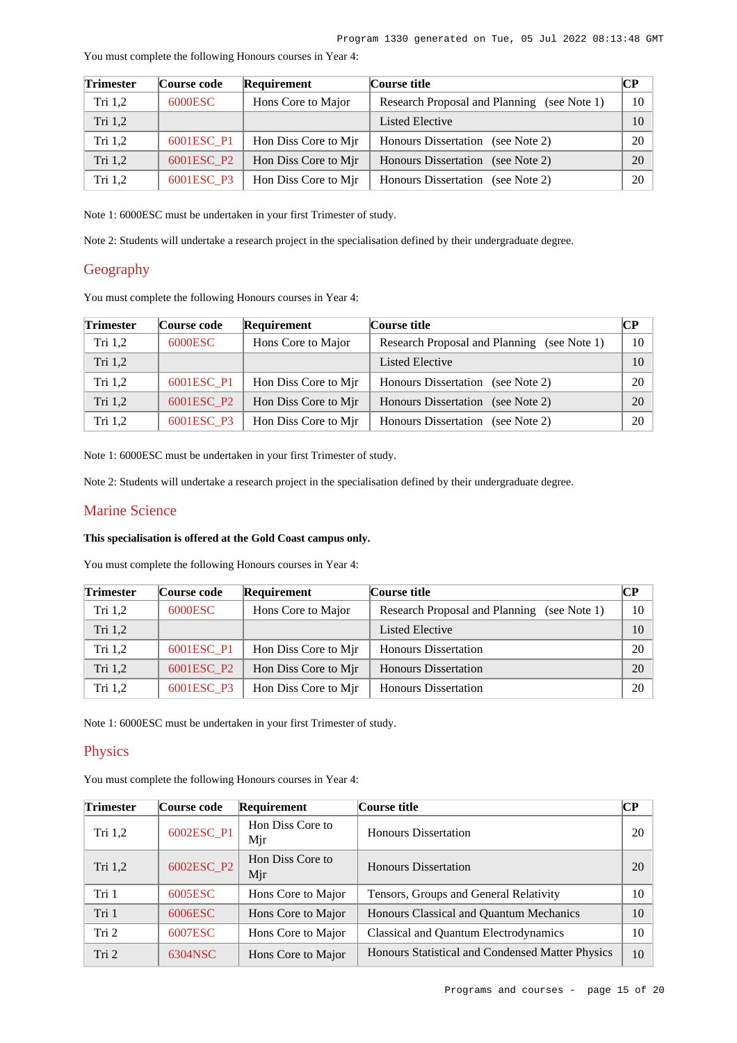| <b>Trimester</b> | Course code | Requirement          | Course title                                | $\bf CP$        |
|------------------|-------------|----------------------|---------------------------------------------|-----------------|
| Tri 1,2          | 6000ESC     | Hons Core to Major   | Research Proposal and Planning (see Note 1) | $10-10$         |
| Tri $1,2$        |             |                      | Listed Elective                             | 10 <sup>1</sup> |
| Tri $1,2$        | 6001ESC P1  | Hon Diss Core to Mjr | Honours Dissertation (see Note 2)           | 20              |
| Tri $1,2$        | 6001ESC P2  | Hon Diss Core to Mir | <b>Honours Dissertation</b><br>(see Note 2) | 20              |
| Tri $1,2$        | 6001ESC P3  | Hon Diss Core to Mjr | <b>Honours Dissertation</b><br>(see Note 2) | 20              |

You must complete the following Honours courses in Year 4:

Note 1: 6000ESC must be undertaken in your first Trimester of study.

Note 2: Students will undertake a research project in the specialisation defined by their undergraduate degree.

# Geography

You must complete the following Honours courses in Year 4:

| <b>Trimester</b> | Course code | Requirement          | Course title                                   | CP. |
|------------------|-------------|----------------------|------------------------------------------------|-----|
| Tri $1,2$        | 6000ESC     | Hons Core to Major   | Research Proposal and Planning<br>(see Note 1) | 10  |
| Tri $1,2$        |             |                      | <b>Listed Elective</b>                         | 10  |
| Tri $1,2$        | 6001ESC_P1  | Hon Diss Core to Mjr | Honours Dissertation (see Note 2)              | 20  |
| Tri $1,2$        | 6001ESC P2  | Hon Diss Core to Mir | Honours Dissertation (see Note 2)              | 20  |
| Tri $1,2$        | 6001ESC P3  | Hon Diss Core to Mir | <b>Honours Dissertation</b><br>(see Note 2)    | 20  |

Note 1: 6000ESC must be undertaken in your first Trimester of study.

Note 2: Students will undertake a research project in the specialisation defined by their undergraduate degree.

### Marine Science

### **This specialisation is offered at the Gold Coast campus only.**

You must complete the following Honours courses in Year 4:

| <b>Trimester</b> | Course code | Requirement          | Course title                                | <b>CP</b>       |
|------------------|-------------|----------------------|---------------------------------------------|-----------------|
| Tri $1,2$        | 6000ESC     | Hons Core to Major   | Research Proposal and Planning (see Note 1) | 10              |
| Tri $1,2$        |             |                      | Listed Elective                             | 10 <sup>1</sup> |
| Tri $1,2$        | 6001ESC_P1  | Hon Diss Core to Mjr | <b>Honours Dissertation</b>                 | 20              |
| Tri $1,2$        | 6001ESC P2  | Hon Diss Core to Mir | <b>Honours Dissertation</b>                 | 20              |
| Tri $1,2$        | 6001ESC P3  | Hon Diss Core to Mjr | <b>Honours Dissertation</b>                 | 20              |

Note 1: 6000ESC must be undertaken in your first Trimester of study.

### **Physics**

You must complete the following Honours courses in Year 4:

| <b>Trimester</b> | Course code | Requirement             | Course title                                     | CР |
|------------------|-------------|-------------------------|--------------------------------------------------|----|
| Tri $1,2$        | 6002ESC_P1  | Hon Diss Core to<br>Mjr | <b>Honours Dissertation</b>                      | 20 |
| Tri 1,2          | 6002ESC_P2  | Hon Diss Core to<br>Mjr | <b>Honours Dissertation</b>                      | 20 |
| Tri 1            | 6005ESC     | Hons Core to Major      | Tensors, Groups and General Relativity           | 10 |
| Tri 1            | 6006ESC     | Hons Core to Major      | Honours Classical and Quantum Mechanics          | 10 |
| Tri 2            | 6007ESC     | Hons Core to Major      | Classical and Quantum Electrodynamics            | 10 |
| Tri 2            | 6304NSC     | Hons Core to Major      | Honours Statistical and Condensed Matter Physics | 10 |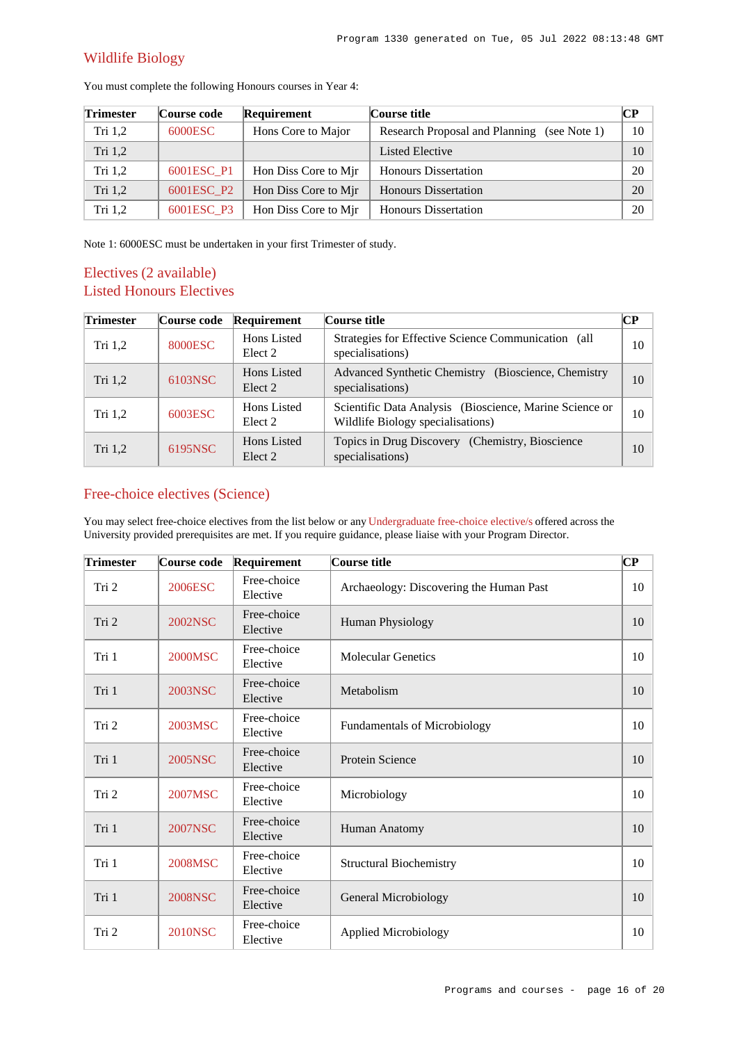# Wildlife Biology

| <b>Trimester</b> | Course code | Requirement          | Course title                                   | CР |
|------------------|-------------|----------------------|------------------------------------------------|----|
| Tri $1,2$        | 6000ESC     | Hons Core to Major   | Research Proposal and Planning<br>(see Note 1) | 10 |
| Tri $1,2$        |             |                      | Listed Elective                                | 10 |
| Tri $1,2$        | 6001ESC P1  | Hon Diss Core to Mir | <b>Honours Dissertation</b>                    | 20 |
| Tri 1,2          | 6001ESC_P2  | Hon Diss Core to Mir | <b>Honours Dissertation</b>                    | 20 |
| Tri $1,2$        | 6001ESC P3  | Hon Diss Core to Mir | <b>Honours Dissertation</b>                    | 20 |

You must complete the following Honours courses in Year 4:

Note 1: 6000ESC must be undertaken in your first Trimester of study.

# Electives (2 available) Listed Honours Electives

| <b>Trimester</b>   | Course code | Requirement                       | Course title                                                                                 | CР |
|--------------------|-------------|-----------------------------------|----------------------------------------------------------------------------------------------|----|
| Tri <sub>1,2</sub> | 8000ESC     | Hons Listed<br>Elect 2            | Strategies for Effective Science Communication (all<br>specialisations)                      | 10 |
| Tri $1,2$          | 6103NSC     | Hons Listed<br>Elect 2            | Advanced Synthetic Chemistry (Bioscience, Chemistry<br>specialisations)                      | 10 |
| Tri $1,2$          | 6003ESC     | Hons Listed<br>Elect 2            | Scientific Data Analysis (Bioscience, Marine Science or<br>Wildlife Biology specialisations) | 10 |
| Tri $1,2$          | 6195NSC     | Hons Listed<br>Elect <sub>2</sub> | Topics in Drug Discovery (Chemistry, Bioscience<br>specialisations)                          | 10 |

# Free-choice electives (Science)

You may select free-choice electives from the list below or any [Undergraduate free-choice elective/s](https://www148.griffith.edu.au/programs-courses/Search/Results?SearchRequestType=CourseCatalogue&AcademicCareerName=UGRD&IsFreeChoiceElective=True) offered across the University provided prerequisites are met. If you require guidance, please liaise with your Program Director.

| <b>Trimester</b> | Course code    | Requirement             | Course title                            | $\mathbf C\mathbf P$ |
|------------------|----------------|-------------------------|-----------------------------------------|----------------------|
| Tri 2            | 2006ESC        | Free-choice<br>Elective | Archaeology: Discovering the Human Past | 10                   |
| Tri 2            | 2002NSC        | Free-choice<br>Elective | Human Physiology                        | 10                   |
| Tri 1            | 2000MSC        | Free-choice<br>Elective | <b>Molecular Genetics</b>               | 10                   |
| Tri 1            | 2003NSC        | Free-choice<br>Elective | Metabolism                              | 10                   |
| Tri 2            | 2003MSC        | Free-choice<br>Elective | <b>Fundamentals of Microbiology</b>     | 10                   |
| Tri 1            | 2005NSC        | Free-choice<br>Elective | <b>Protein Science</b>                  | 10                   |
| Tri 2            | 2007MSC        | Free-choice<br>Elective | Microbiology                            | 10                   |
| Tri 1            | <b>2007NSC</b> | Free-choice<br>Elective | Human Anatomy                           | 10                   |
| Tri 1            | 2008MSC        | Free-choice<br>Elective | <b>Structural Biochemistry</b>          | 10                   |
| Tri 1            | <b>2008NSC</b> | Free-choice<br>Elective | <b>General Microbiology</b>             | 10                   |
| Tri 2            | <b>2010NSC</b> | Free-choice<br>Elective | <b>Applied Microbiology</b>             | 10                   |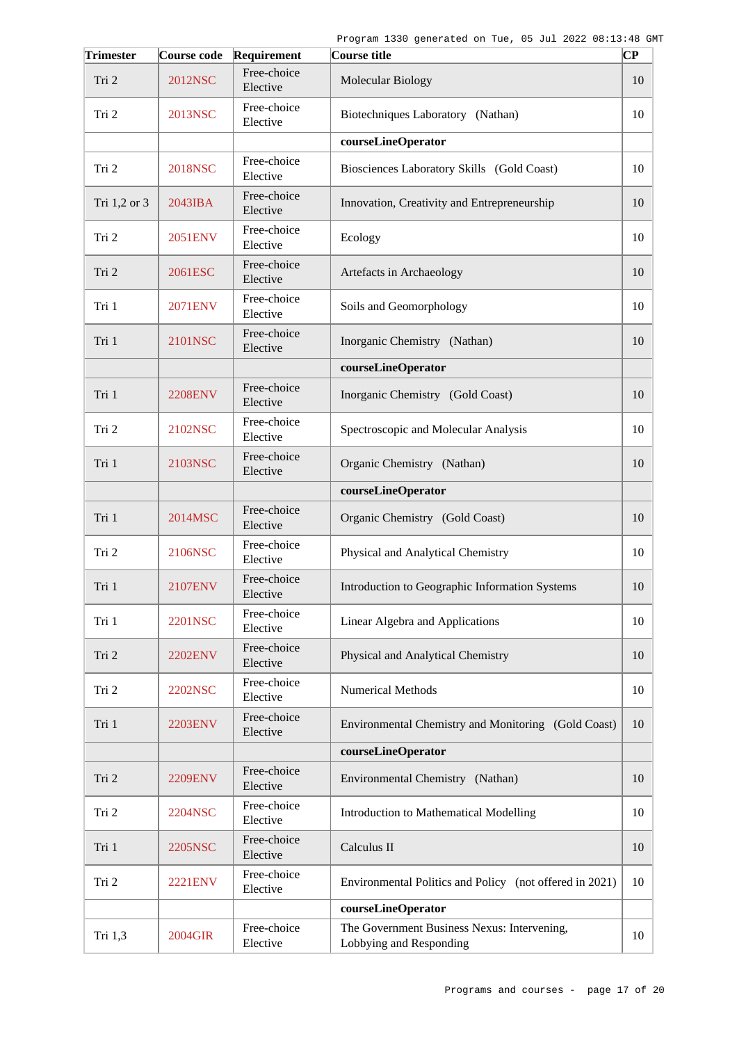| <b>Trimester</b> | Course code    | Requirement             | Course title                                                           | СP |
|------------------|----------------|-------------------------|------------------------------------------------------------------------|----|
| Tri 2            | <b>2012NSC</b> | Free-choice<br>Elective | <b>Molecular Biology</b>                                               | 10 |
| Tri 2            | 2013NSC        | Free-choice<br>Elective | Biotechniques Laboratory (Nathan)                                      | 10 |
|                  |                |                         | courseLineOperator                                                     |    |
| Tri 2            | <b>2018NSC</b> | Free-choice<br>Elective | Biosciences Laboratory Skills (Gold Coast)                             | 10 |
| Tri 1,2 or 3     | 2043IBA        | Free-choice<br>Elective | Innovation, Creativity and Entrepreneurship                            | 10 |
| Tri 2            | 2051ENV        | Free-choice<br>Elective | Ecology                                                                | 10 |
| Tri 2            | 2061ESC        | Free-choice<br>Elective | Artefacts in Archaeology                                               | 10 |
| Tri 1            | 2071ENV        | Free-choice<br>Elective | Soils and Geomorphology                                                | 10 |
| Tri 1            | 2101NSC        | Free-choice<br>Elective | Inorganic Chemistry (Nathan)                                           | 10 |
|                  |                |                         | courseLineOperator                                                     |    |
| Tri 1            | <b>2208ENV</b> | Free-choice<br>Elective | Inorganic Chemistry (Gold Coast)                                       | 10 |
| Tri 2            | 2102NSC        | Free-choice<br>Elective | Spectroscopic and Molecular Analysis                                   | 10 |
| Tri 1            | 2103NSC        | Free-choice<br>Elective | Organic Chemistry (Nathan)                                             | 10 |
|                  |                |                         | courseLineOperator                                                     |    |
| Tri 1            | 2014MSC        | Free-choice<br>Elective | Organic Chemistry (Gold Coast)                                         | 10 |
| Tri 2            | 2106NSC        | Free-choice<br>Elective | Physical and Analytical Chemistry                                      | 10 |
| Tri 1            | <b>2107ENV</b> | Free-choice<br>Elective | Introduction to Geographic Information Systems                         | 10 |
| Tri 1            | <b>2201NSC</b> | Free-choice<br>Elective | Linear Algebra and Applications                                        | 10 |
| Tri 2            | <b>2202ENV</b> | Free-choice<br>Elective | Physical and Analytical Chemistry                                      | 10 |
| Tri 2            | 2202NSC        | Free-choice<br>Elective | <b>Numerical Methods</b>                                               | 10 |
| Tri 1            | 2203ENV        | Free-choice<br>Elective | Environmental Chemistry and Monitoring (Gold Coast)                    | 10 |
|                  |                |                         | courseLineOperator                                                     |    |
| Tri 2            | <b>2209ENV</b> | Free-choice<br>Elective | Environmental Chemistry (Nathan)                                       | 10 |
| Tri 2            | 2204NSC        | Free-choice<br>Elective | Introduction to Mathematical Modelling                                 | 10 |
| Tri 1            | 2205NSC        | Free-choice<br>Elective | Calculus II                                                            | 10 |
| Tri 2            | 2221ENV        | Free-choice<br>Elective | Environmental Politics and Policy (not offered in 2021)                | 10 |
|                  |                |                         | courseLineOperator                                                     |    |
| Tri 1,3          | 2004GIR        | Free-choice<br>Elective | The Government Business Nexus: Intervening,<br>Lobbying and Responding | 10 |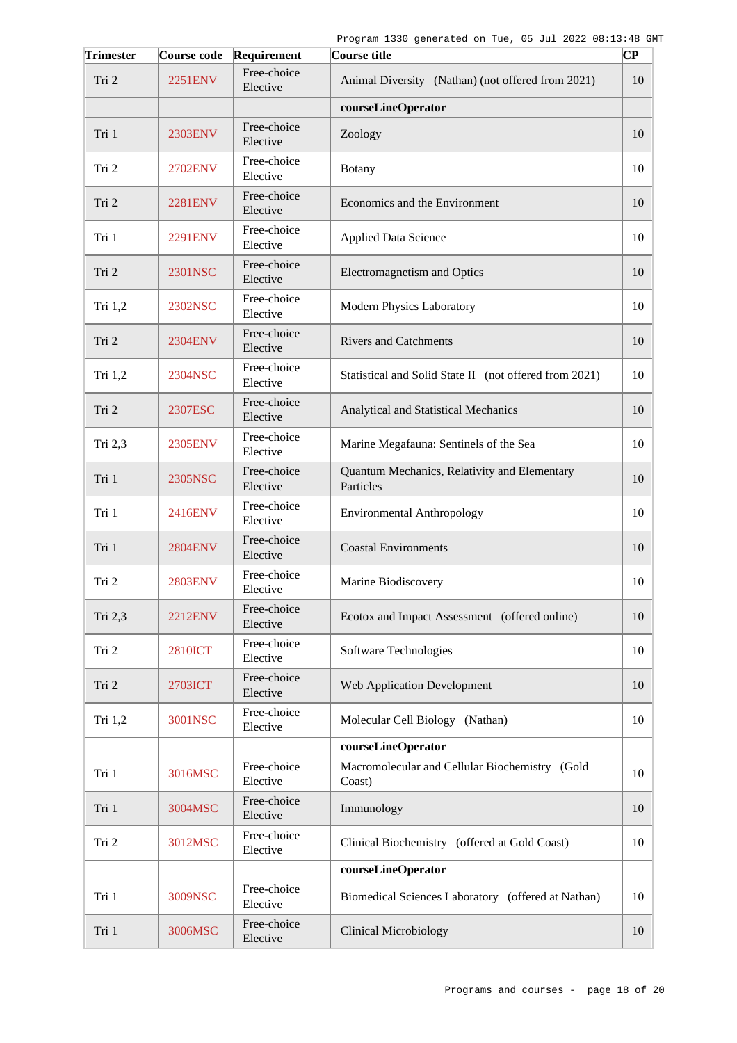| <b>Trimester</b> | Course code    | Requirement             | Course title                                              | $ {\bf CP}$ |
|------------------|----------------|-------------------------|-----------------------------------------------------------|-------------|
| Tri 2            | 2251ENV        | Free-choice<br>Elective | Animal Diversity (Nathan) (not offered from 2021)         | 10          |
|                  |                |                         | courseLineOperator                                        |             |
| Tri 1            | 2303ENV        | Free-choice<br>Elective | Zoology                                                   | 10          |
| Tri 2            | 2702ENV        | Free-choice<br>Elective | <b>Botany</b>                                             | 10          |
| Tri 2            | <b>2281ENV</b> | Free-choice<br>Elective | Economics and the Environment                             | 10          |
| Tri 1            | 2291ENV        | Free-choice<br>Elective | <b>Applied Data Science</b>                               | 10          |
| Tri 2            | 2301NSC        | Free-choice<br>Elective | Electromagnetism and Optics                               | 10          |
| Tri 1,2          | 2302NSC        | Free-choice<br>Elective | Modern Physics Laboratory                                 | 10          |
| Tri 2            | 2304ENV        | Free-choice<br>Elective | <b>Rivers and Catchments</b>                              | 10          |
| Tri 1,2          | 2304NSC        | Free-choice<br>Elective | Statistical and Solid State II (not offered from 2021)    | 10          |
| Tri 2            | 2307ESC        | Free-choice<br>Elective | Analytical and Statistical Mechanics                      | 10          |
| Tri 2,3          | 2305ENV        | Free-choice<br>Elective | Marine Megafauna: Sentinels of the Sea                    | 10          |
| Tri 1            | 2305NSC        | Free-choice<br>Elective | Quantum Mechanics, Relativity and Elementary<br>Particles | 10          |
| Tri 1            | 2416ENV        | Free-choice<br>Elective | <b>Environmental Anthropology</b>                         | 10          |
| Tri 1            | <b>2804ENV</b> | Free-choice<br>Elective | <b>Coastal Environments</b>                               | 10          |
| Tri 2            | <b>2803ENV</b> | Free-choice<br>Elective | Marine Biodiscovery                                       | 10          |
| Tri 2,3          | <b>2212ENV</b> | Free-choice<br>Elective | Ecotox and Impact Assessment (offered online)             | 10          |
| Tri 2            | <b>2810ICT</b> | Free-choice<br>Elective | Software Technologies                                     | 10          |
| Tri 2            | 2703ICT        | Free-choice<br>Elective | <b>Web Application Development</b>                        | 10          |
| Tri 1,2          | 3001NSC        | Free-choice<br>Elective | Molecular Cell Biology (Nathan)                           | 10          |
|                  |                |                         | courseLineOperator                                        |             |
| Tri 1            | 3016MSC        | Free-choice<br>Elective | Macromolecular and Cellular Biochemistry (Gold<br>Coast)  | 10          |
| Tri 1            | 3004MSC        | Free-choice<br>Elective | Immunology                                                | 10          |
| Tri 2            | 3012MSC        | Free-choice<br>Elective | Clinical Biochemistry (offered at Gold Coast)             | 10          |
|                  |                |                         | courseLineOperator                                        |             |
| Tri 1            | 3009NSC        | Free-choice<br>Elective | Biomedical Sciences Laboratory (offered at Nathan)        | 10          |
| Tri 1            | 3006MSC        | Free-choice<br>Elective | <b>Clinical Microbiology</b>                              | 10          |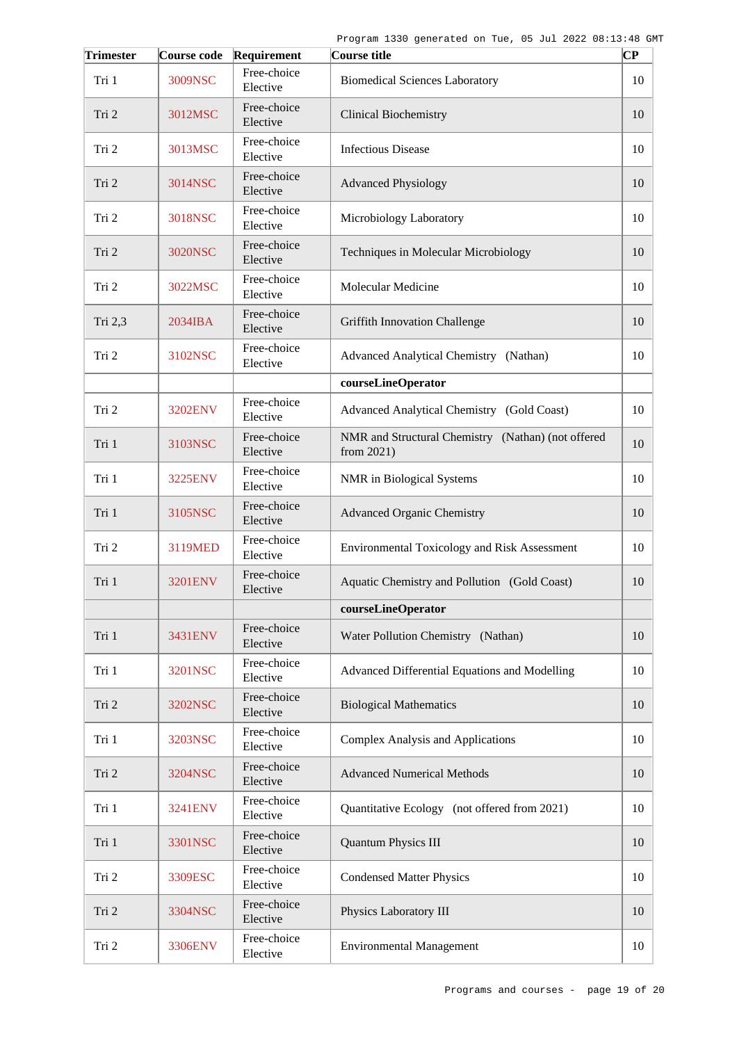| <b>Trimester</b> | Course code | Requirement             | Course title                                                        | $ {\bf CP}$ |
|------------------|-------------|-------------------------|---------------------------------------------------------------------|-------------|
| Tri 1            | 3009NSC     | Free-choice<br>Elective | <b>Biomedical Sciences Laboratory</b>                               | 10          |
| Tri 2            | 3012MSC     | Free-choice<br>Elective | <b>Clinical Biochemistry</b>                                        | 10          |
| Tri 2            | 3013MSC     | Free-choice<br>Elective | <b>Infectious Disease</b>                                           | 10          |
| Tri 2            | 3014NSC     | Free-choice<br>Elective | <b>Advanced Physiology</b>                                          | 10          |
| Tri 2            | 3018NSC     | Free-choice<br>Elective | Microbiology Laboratory                                             | 10          |
| Tri 2            | 3020NSC     | Free-choice<br>Elective | Techniques in Molecular Microbiology                                | 10          |
| Tri 2            | 3022MSC     | Free-choice<br>Elective | Molecular Medicine                                                  | 10          |
| Tri 2,3          | 2034IBA     | Free-choice<br>Elective | <b>Griffith Innovation Challenge</b>                                | 10          |
| Tri 2            | 3102NSC     | Free-choice<br>Elective | Advanced Analytical Chemistry (Nathan)                              | 10          |
|                  |             |                         | courseLineOperator                                                  |             |
| Tri 2            | 3202ENV     | Free-choice<br>Elective | Advanced Analytical Chemistry (Gold Coast)                          | 10          |
| Tri 1            | 3103NSC     | Free-choice<br>Elective | NMR and Structural Chemistry (Nathan) (not offered<br>from $2021$ ) | 10          |
| Tri 1            | 3225ENV     | Free-choice<br>Elective | NMR in Biological Systems                                           | 10          |
| Tri 1            | 3105NSC     | Free-choice<br>Elective | <b>Advanced Organic Chemistry</b>                                   | 10          |
| Tri 2            | 3119MED     | Free-choice<br>Elective | Environmental Toxicology and Risk Assessment                        | 10          |
| Tri 1            | 3201ENV     | Free-choice<br>Elective | Aquatic Chemistry and Pollution (Gold Coast)                        | 10          |
|                  |             |                         | courseLineOperator                                                  |             |
| Tri 1            | 3431ENV     | Free-choice<br>Elective | Water Pollution Chemistry (Nathan)                                  | 10          |
| Tri 1            | 3201NSC     | Free-choice<br>Elective | Advanced Differential Equations and Modelling                       | 10          |
| Tri 2            | 3202NSC     | Free-choice<br>Elective | <b>Biological Mathematics</b>                                       | 10          |
| Tri 1            | 3203NSC     | Free-choice<br>Elective | <b>Complex Analysis and Applications</b>                            | 10          |
| Tri 2            | 3204NSC     | Free-choice<br>Elective | <b>Advanced Numerical Methods</b>                                   | 10          |
| Tri 1            | 3241ENV     | Free-choice<br>Elective | Quantitative Ecology (not offered from 2021)                        | 10          |
| Tri 1            | 3301NSC     | Free-choice<br>Elective | <b>Quantum Physics III</b>                                          | 10          |
| Tri 2            | 3309ESC     | Free-choice<br>Elective | <b>Condensed Matter Physics</b>                                     | 10          |
| Tri 2            | 3304NSC     | Free-choice<br>Elective | Physics Laboratory III                                              | 10          |
| Tri 2            | 3306ENV     | Free-choice<br>Elective | <b>Environmental Management</b>                                     | 10          |